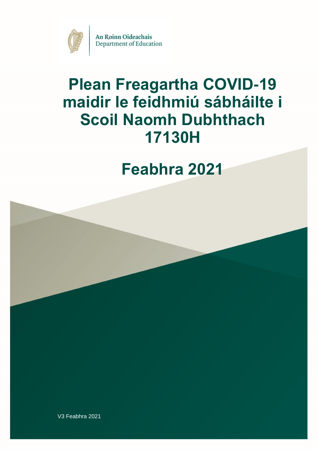

An Roinn Oideachais Department of Education

# **Plean Freagartha COVID-19 maidir le feidhmiú sábháilte i Scoil Naomh Dubhthach 17130H**

## **Feabhra 2021**

V3 Feabhra 2021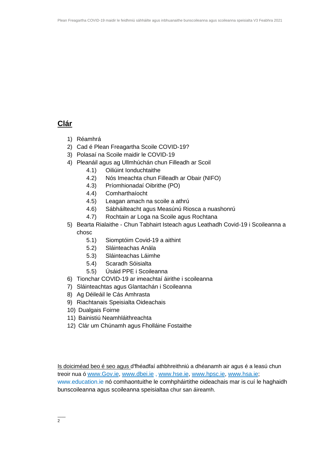### **Clár**

- 1) Réamhrá
- 2) Cad é Plean Freagartha Scoile COVID-19?
- 3) Polasaí na Scoile maidir le COVID-19
- 4) Pleanáil agus ag Ullmhúchán chun Filleadh ar Scoil
	- 4.1) Oiliúint Ionduchtaithe
	- 4.2) Nós Imeachta chun Filleadh ar Obair (NIFO)
	- 4.3) Príomhionadaí Oibrithe (PO)
	- 4.4) Comharthaíocht
	- 4.5) Leagan amach na scoile a athrú
	- 4.6) Sábháilteacht agus Measúnú Riosca a nuashonrú
	- 4.7) Rochtain ar Loga na Scoile agus Rochtana
- 5) Bearta Rialaithe Chun Tabhairt Isteach agus Leathadh Covid-19 i Scoileanna a chosc
	- 5.1) Siomptóim Covid-19 a aithint
	- 5.2) Sláinteachas Anála
	- 5.3) Sláinteachas Láimhe
	- 5.4) Scaradh Sóisialta
	- 5.5) Úsáid PPE i Scoileanna
- 6) Tionchar COVID-19 ar imeachtaí áirithe i scoileanna
- 7) Sláinteachtas agus Glantachán i Scoileanna
- 8) Ag Déileáil le Cás Amhrasta
- 9) Riachtanais Speisialta Oideachais
- 10) Dualgais Foirne
- 11) Bainistiú Neamhláithreachta
- 12) Clár um Chúnamh agus Fholláine Fostaithe

Is doiciméad beo é seo agus d'fhéadfaí athbhreithniú a dhéanamh air agus é a leasú chun treoir nua ó [www.Gov.ie,](http://www.gov.ie/) [www.dbei.ie](http://www.dbei.ie/) , [www.hse.ie,](http://www.hse.ie/) [www.hpsc.ie,](http://www.hpsc.ie/) [www.hsa.ie;](http://www.hsa.ie/) [www.education.ie](http://www.education.ie/) nó comhaontuithe le comhpháirtithe oideachais mar is cuí le haghaidh bunscoileanna agus scoileanna speisialtaa chur san áireamh.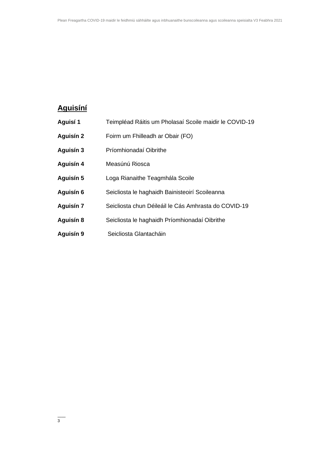### **Aguisíní**

- **Aguisí 1** Teimpléad Ráitis um Pholasaí Scoile maidir le COVID-19
- **Aguisín 2** Foirm um Fhilleadh ar Obair (FO)
- **Aguisín 3** Príomhionadaí Oibrithe
- **Aguisín 4** Measúnú Riosca
- **Aguisín 5** Loga Rianaithe Teagmhála Scoile
- **Aguisín 6** Seicliosta le haghaidh Bainisteoirí Scoileanna
- **Aguisín 7** Seicliosta chun Déileáil le Cás Amhrasta do COVID-19
- **Aguisín 8** Seicliosta le haghaidh Príomhionadaí Oibrithe
- **Aguisín 9** Seicliosta Glantacháin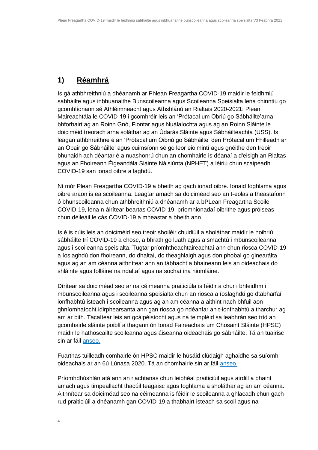### **1) Réamhrá**

Is gá athbhreithniú a dhéanamh ar Phlean Freagartha COVID-19 maidir le feidhmiú sábháilte agus inbhuanaithe Bunscoileanna agus Scoileanna Speisialta lena chinntiú go gcomhlíonann sé Athléimneacht agus Athshlánú an Rialtais 2020-2021: Plean Maireachtála le COVID-19 i gcomhréir leis an 'Prótacal um Obriú go Sábháilte'arna bhforbairt ag an Roinn Gnó, Fiontar agus Nuálaíochta agus ag an Roinn Sláinte le doiciméid treorach arna soláthar ag an Údarás Sláinte agus Sábháilteachta (USS). Is leagan athbhreithne é an 'Prótacal um Oibriú go Sábháilte' den Prótacal um Fhilleadh ar an Obair go Sábháilte' agus cuimsíonn sé go leor eioimintí agus gnéithe den treoir bhunaidh ach déantar é a nuashonrú chun an chomhairle is déanaí a d'eisigh an Rialtas agus an Fhoireann Éigeandála Sláinte Náisiúnta (NPHET) a léiriú chun scaipeadh COVID-19 san ionad oibre a laghdú.

Ní mór Plean Freagartha COVID-19 a bheith ag gach ionad oibre. Ionaid foghlama agus oibre araon is ea scoileanna. Leagtar amach sa doiciméad seo an t-eolas a theastaíonn ó bhunscoileanna chun athbhreithniú a dhéanamh ar a bPLean Freagartha Scoile COVID-19, lena n-áirítear beartas COVID-19, príomhionadaí oibrithe agus próiseas chun déileáil le cás COVID-19 a mheastar a bheith ann.

Is é is cúis leis an doiciméid seo treoir shoiléir chuidiúil a sholáthar maidir le hoibriú sábháilte trí COVID-19 a chosc, a bhrath go luath agus a smachtú i mbunscoileanna agus i scoileanna speisialta. Tugtar príomhtheachtaireachtaí ann chun riosca COVID-19 a íoslaghdú don fhoireann, do dhaltaí, do theaghlaigh agus don phobal go ginearálta agus ag an am céanna aithnítear ann an tábhacht a bhaineann leis an oideachais do shláinte agus folláine na ndaltaí agus na sochaí ina hiomláine.

Dírítear sa doiciméad seo ar na céimeanna praiticiúla is féidir a chur i bhfeidhm i mbunscoileanna agus i scoileanna speisialta chun an riosca a íoslaghdú go dtabharfaí ionfhabhtú isteach i scoileanna agus ag an am céanna a aithint nach bhfuil aon ghníomhaíocht idirphearsanta ann gan riosca go ndéanfar an t-ionfhabhtú a tharchur ag am ar bith. Tacaítear leis an gcáipéisíocht agus na teimpléid sa leabhrán seo tríd an gcomhairle sláinte poiblí a thagann ón Ionad Faireachais um Chosaint Sláinte (HPSC) maidir le hathoscailte scoileanna agus áiseanna oideachais go sábháilte. Tá an tuairisc sin ar fáil [anseo.](file:///C:/Users/caroline_curran/AppData/Local/Microsoft/Windows/INetCache/Content.Outlook/8PSJ2137/anseo)

Fuarthas tuilleadh comhairle ón HPSC maidir le húsáid clúdaigh aghaidhe sa suíomh oideachais ar an 6ú Lúnasa 2020. Tá an chomhairle sin ar fáil [anseo.](file:///C:/Users/caroline_curran/AppData/Local/Microsoft/Windows/INetCache/Content.Outlook/8PSJ2137/anseo)

Príomhdhúshlán atá ann an riachtanas chun leibhéal praiticiúil agus airdill a bhaint amach agus timpeallacht thacúil teagaisc agus foghlama a sholáthar ag an am céanna. Aithnítear sa doiciméad seo na céimeanna is féidir le scoileanna a ghlacadh chun gach rud praiticiúil a dhéanamh gan COVID-19 a thabhairt isteach sa scoil agus na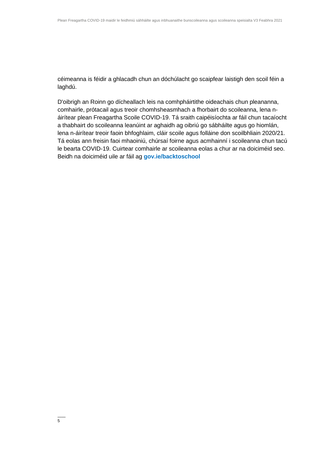céimeanna is féidir a ghlacadh chun an dóchúlacht go scaipfear laistigh den scoil féin a laghdú.

D'oibrigh an Roinn go dícheallach leis na comhpháirtithe oideachais chun pleananna, comhairle, prótacail agus treoir chomhsheasmhach a fhorbairt do scoileanna, lena náirítear plean Freagartha Scoile COVID-19. Tá sraith caipéisíochta ar fáil chun tacaíocht a thabhairt do scoileanna leanúint ar aghaidh ag oibriú go sábháilte agus go hiomlán, lena n-áirítear treoir faoin bhfoghlaim, cláir scoile agus folláine don scoilbhliain 2020/21. Tá eolas ann freisin faoi mhaoiniú, chúrsaí foirne agus acmhainní i scoileanna chun tacú le bearta COVID-19. Cuirtear comhairle ar scoileanna eolas a chur ar na doiciméid seo. Beidh na doiciméid uile ar fáil ag **[gov.ie/backtoschool](http://www.gov.ie/backtoschool)**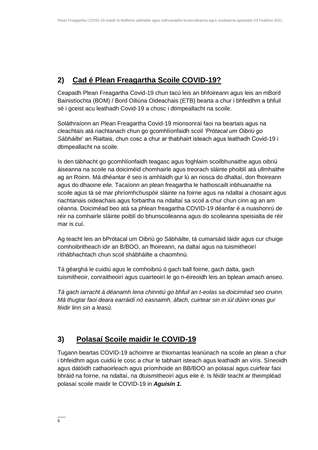### **2) Cad é Plean Freagartha Scoile COVID-19?**

Ceapadh Plean Freagartha Covid-19 chun tacú leis an bhfoireann agus leis an mBord Bainistíochta (BOM) / Bord Oiliúna Oideachais (ETB) bearta a chur i bhfeidhm a bhfuil sé i gceist acu leathadh Covid-19 a chosc i dtimpeallacht na scoile.

Soláthraíonn an Plean Freagartha Covid-19 mionsonraí faoi na beartais agus na cleachtais atá riachtanach chun go gcomhlíonfaidh scoil *'Prótacal um Oibriú go Sábháilte*' an Rialtais, chun cosc a chur ar thabhairt isteach agus leathadh Covid-19 i dtimpeallacht na scoile.

Is den tábhacht go gcomhlíonfaidh teagasc agus foghlaim scoilbhunaithe agus oibriú áiseanna na scoile na doiciméid chomhairle agus treorach sláinte phoiblí atá ullmhaithe ag an Roinn. Má dhéantar é seo is amhlaidh gur lú an riosca do dhaltaí, don fhoireann agus do dhaoine eile. Tacaíonn an plean freagartha le hathoscailt inbhuanaithe na scoile agus tá sé mar phríomhchuspóir sláinte na foirne agus na ndaltaí a chosaint agus riachtanais oideachais agus forbartha na ndaltaí sa scoil a chur chun cinn ag an am céanna. Doiciméad beo atá sa phlean freagartha COVID-19 déanfar é a nuashonrú de réir na comhairle sláinte poiblí do bhunscoileanna agus do scoileanna speisialta de réir mar is cuí.

Ag teacht leis an bPrótacal um Oibriú go Sábháilte, tá cumarsáid láidir agus cur chuige comhoibritheach idir an B/BOO, an fhoireann, na daltaí agus na tuismitheoirí ríthábhachtach chun scoil shábháilte a chaomhnú.

Tá géarghá le cuidiú agus le comhoibriú ó gach ball foirne, gach dalta, gach tuismitheoir, conraitheoirí agus cuairteoirí le go n-éireoidh leis an bplean amach anseo.

*Tá gach iarracht á déanamh lena chinntiú go bhfuil an t-eolas sa doiciméad seo cruinn. Má thugtar faoi deara earráidí nó easnaimh, áfach, cuirtear sin in iúl dúinn ionas gur féidir linn sin a leasú.*

### **3) Polasaí Scoile maidir le COVID-19**

Tugann beartas COVID-19 achoimre ar thiomantas leanúnach na scoile an plean a chur i bhfeidhm agus cuidiú le cosc a chur le tabhairt isteach agus leathadh an víris. Síneoidh agus dátóidh cathaoirleach agus príomhoide an BB/BOO an polasaí agus cuirfear faoi bhráid na foirne, na ndaltaí, na dtuismitheoirí agus eile é. Is féidir teacht ar theimpléad polasaí scoile maidir le COVID-19 in *Aguisín 1.*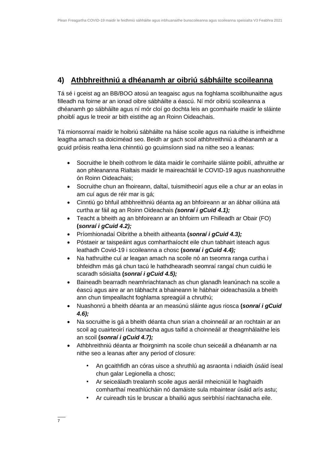### **4) Athbhreithniú a dhéanamh ar oibriú sábháilte scoileanna**

Tá sé i gceist ag an BB/BOO atosú an teagaisc agus na foghlama scoilbhunaithe agus filleadh na foirne ar an ionad oibre sábháilte a éascú. Ní mór oibriú scoileanna a dhéanamh go sábháilte agus ní mór cloí go dochta leis an gcomhairle maidir le sláinte phoiblí agus le treoir ar bith eistithe ag an Roinn Oideachais.

Tá mionsonraí maidir le hoibriú sábháilte na háise scoile agus na rialuithe is infheidhme leagtha amach sa doiciméad seo. Beidh ar gach scoil athbhreithniú a dhéanamh ar a gcuid próisis reatha lena chinntiú go gcuimsíonn siad na nithe seo a leanas:

- Socruithe le bheih cothrom le dáta maidir le comhairle sláinte poiblí, athruithe ar aon phleananna Rialtais maidir le maireachtáil le COVID-19 agus nuashonruithe ón Roinn Oideachais;
- Socruithe chun an fhoireann, daltaí, tuismitheoirí agus eile a chur ar an eolas in am cuí agus de réir mar is gá;
- Cinntiú go bhfuil athbhreithniú déanta ag an bhfoireann ar an ábhar oiliúna atá curtha ar fáil ag an Roinn Oideachais *(sonraí i gCuid 4.1);*
- Teacht a bheith ag an bhfoireann ar an bhfoirm um Fhilleadh ar Obair (FO) **(***sonraí i gCuid 4.2);*
- Príomhionadaí Oibrithe a bheith aitheanta **(***sonraí i gCuid 4.3);*
- Póstaeir ar taispeáint agus comharthaíocht eile chun tabhairt isteach agus leathadh Covid-19 i scoileanna a chosc **(***sonraí i gCuid 4.4);*
- Na hathruithe cuí ar leagan amach na scoile nó an tseomra ranga curtha i bhfeidhm más gá chun tacú le hathdhearadh seomraí rangaí chun cuidiú le scaradh sóisialta **(***sonraí i gCuid 4.5);*
- Baineadh bearradh neamhriachtanach as chun glanadh leanúnach na scoile a éascú agus aire ar an tábhacht a bhaineann le hábhair oideachasúla a bheith ann chun timpeallacht foghlama spreagúil a chruthú;
- Nuashonrú a bheith déanta ar an measúnú sláinte agus riosca **(***sonraí i gCuid 4.6);*
- Na socruithe is gá a bheith déanta chun srian a choinneáil ar an rochtain ar an scoil ag cuairteoirí riachtanacha agus taifid a choinneáil ar theagmhálaithe leis an scoil **(***sonraí i gCuid 4.7);*
- Athbhreithniú déanta ar fhoirgnimh na scoile chun seiceáil a dhéanamh ar na nithe seo a leanas after any period of closure:
	- An gcaithfidh an córas uisce a shruthlú ag asraonta i ndiaidh úsáid íseal chun galar Legionella a chosc;
	- Ar seiceáladh trealamh scoile agus aeráil mheicniúil le haghaidh comharthaí meathlúcháin nó damáiste sula mbaintear úsáid arís astu;
	- Ar cuireadh tús le bruscar a bhailiú agus seirbhísí riachtanacha eile.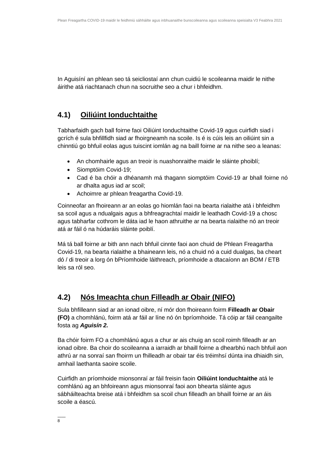In Aguisíní an phlean seo tá seicliostaí ann chun cuidiú le scoileanna maidir le nithe áirithe atá riachtanach chun na socruithe seo a chur i bhfeidhm.

### **4.1) Oiliúint Ionduchtaithe**

Tabharfaidh gach ball foirne faoi Oiliúint Ionduchtaithe Covid-19 agus cuirfidh siad i gcrích é sula bhfillfidh siad ar fhoirgneamh na scoile. Is é is cúis leis an oiliúint sin a chinntiú go bhfuil eolas agus tuiscint iomlán ag na baill foirne ar na nithe seo a leanas:

- An chomhairle agus an treoir is nuashonraithe maidir le sláinte phoiblí;
- Siomptóim Covid-19;
- Cad é ba chóir a dhéanamh má thagann siomptóim Covid-19 ar bhall foirne nó ar dhalta agus iad ar scoil;
- Achoimre ar phlean freagartha Covid-19.

Coinneofar an fhoireann ar an eolas go hiomlán faoi na bearta rialaithe atá i bhfeidhm sa scoil agus a ndualgais agus a bhfreagrachtaí maidir le leathadh Covid-19 a chosc agus tabharfar cothrom le dáta iad le haon athruithe ar na bearta rialaithe nó an treoir atá ar fáil ó na húdaráis sláinte poiblí.

Má tá ball foirne ar bith ann nach bhfuil cinnte faoi aon chuid de Phlean Freagartha Covid-19, na bearta rialaithe a bhaineann leis, nó a chuid nó a cuid dualgas, ba cheart dó / di treoir a lorg ón bPríomhoide láithreach, príomhoide a dtacaíonn an BOM / ETB leis sa ról seo.

### **4.2) Nós Imeachta chun Filleadh ar Obair (NIFO)**

Sula bhfilleann siad ar an ionad oibre, ní mór don fhoireann foirm **Filleadh ar Obair (FO)** a chomhlánú, foirm atá ar fáil ar líne nó ón bpríomhoide. Tá cóip ar fáil ceangailte fosta ag *Aguisín 2.*

Ba chóir foirm FO a chomhlánú agus a chur ar ais chuig an scoil roimh filleadh ar an ionad oibre. Ba choir do scoileanna a iarraidh ar bhaill foirne a dhearbhú nach bhfuil aon athrú ar na sonraí san fhoirm un fhilleadh ar obair tar éis tréimhsí dúnta ina dhiaidh sin, amhail laethanta saoire scoile.

Cuirfidh an príomhoide mionsonraí ar fáil freisin faoin **Oiliúint Ionduchtaithe** atá le comhlánú ag an bhfoireann agus mionsonraí faoi aon bhearta sláinte agus sábháilteachta breise atá i bhfeidhm sa scoil chun filleadh an bhaill foirne ar an áis scoile a éascú.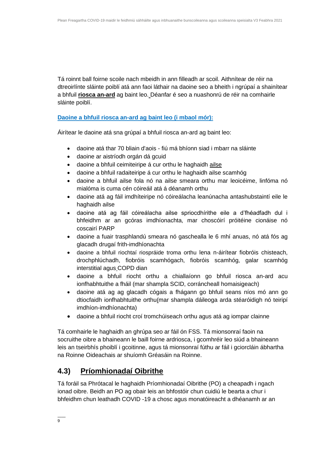Tá roinnt ball foirne scoile nach mbeidh in ann filleadh ar scoil. Aithnítear de réir na dtreoirlínte sláinte poiblí atá ann faoi láthair na daoine seo a bheith i ngrúpaí a shainítear a bhfuil **riosca an-ard** ag baint leo. Déanfar é seo a nuashonrú de réir na comhairle sláinte poiblí.

### **[Daoine a bhfuil riosca an-ard ag baint leo \(i mbaol mór\):](https://www2.hse.ie/gaeilge/coroinvireas/daoine-ata-i-mbaol-nios-mo-on-gcoroinvireas.html)**

Áirítear le daoine atá sna grúpaí a bhfuil riosca an-ard ag baint leo:

- daoine atá thar 70 bliain d'aois fiú má bhíonn siad i mbarr na sláinte
- daoine ar aistríodh orgán dá gcuid
- daoine a bhfuil ceimiteiripe á cur orthu le haghaidh [ailse](https://www2.hse.ie/gaeilge/coroinvireas/comharthai-an-choroinviris.html)
- daoine a bhfuil radaiteiripe á cur orthu le haghaidh ailse scamhóg
- daoine a bhfuil ailse fola nó na ailse smeara orthu mar leoicéime, linfóma nó mialóma is cuma cén cóireáil atá á déanamh orthu
- daoine atá ag fáil imdhíteiripe nó cóireálacha leanúnacha antashubstaintí eile le haghaidh ailse
- daoine atá ag fáil cóireálacha ailse spriocdhírithe eile a d'fhéadfadh dul i bhfeidhm ar an gcóras imdhíonachta, mar choscóirí próitéine cionáise nó coscairí PARP
- daoine a fuair trasphlandú smeara nó gaschealla le 6 mhí anuas, nó atá fós ag glacadh drugaí frith-imdhíonachta
- daoine a bhfuil riochtaí riospráide troma orthu lena n-áirítear fiobróis chisteach, [drochphlúchadh,](https://www2.hse.ie/conditions/coronavirus/asthma.html) fiobróis scamhógach, fiobróis scamhóg, galar scamhóg interstitial agus [COPD dian](https://www2.hse.ie/conditions/coronavirus/copd.html)
- daoine a bhfuil riocht orthu a chiallaíonn go bhfuil riosca an-ard acu ionfhabhtuithe a fháil (mar shampla SCID, corráncheall homaisigeach)
- daoine atá ag [ag glacadh cógais a fhágann go bhfuil seans níos mó ann go](https://www2.hse.ie/conditions/coronavirus/weak-immune-system.html)  [dtiocfaidh ionfhabhtuithe orthu\(](https://www2.hse.ie/conditions/coronavirus/weak-immune-system.html)mar shampla dáileoga arda stéaróidigh nó teiripí imdhíon-imdhíonachta)
- daoine a bhfuil riocht croí tromchúiseach orthu agus atá ag iompar clainne

Tá comhairle le haghaidh an ghrúpa seo ar fáil ón FSS. Tá mionsonraí faoin na socruithe oibre a bhaineann le baill foirne ardriosca, i gcomhréir leo siúd a bhaineann leis an tseirbhís phoiblí i gcoitinne, agus tá mionsonraí fúthu ar fáil i gciorcláin ábhartha na Roinne Oideachais ar shuíomh Gréasáin na Roinne.

### **4.3) Príomhionadaí Oibrithe**

Tá foráil sa Phrótacal le haghaidh Príomhionadaí Oibrithe (PO) a cheapadh i ngach ionad oibre. Beidh an PO ag obair leis an bhfostóir chun cuidiú le bearta a chur i bhfeidhm chun leathadh COVID -19 a chosc agus monatóireacht a dhéanamh ar an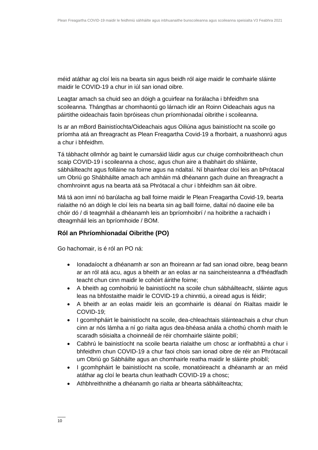méid atáthar ag cloí leis na bearta sin agus beidh ról aige maidir le comhairle sláinte maidir le COVID-19 a chur in iúl san ionad oibre.

Leagtar amach sa chuid seo an dóigh a gcuirfear na forálacha i bhfeidhm sna scoileanna. Thángthas ar chomhaontú go lárnach idir an Roinn Oideachais agus na páirtithe oideachais faoin bpróiseas chun príomhionadaí oibrithe i scoileanna.

Is ar an mBord Bainistíochta/Oideachais agus Oiliúna agus bainistíocht na scoile go príomha atá an fhreagracht as Plean Freagartha Covid-19 a fhorbairt, a nuashonrú agus a chur i bhfeidhm.

Tá tábhacht ollmhór ag baint le cumarsáid láidir agus cur chuige comhoibritheach chun scaip COVID-19 i scoileanna a chosc, agus chun aire a thabhairt do shláinte, sábháilteacht agus folláine na foirne agus na ndaltaí. Ní bhainfear cloí leis an bPrótacal um Obriú go Shábháilte amach ach amháin má dhéanann gach duine an fhreagracht a chomhroinnt agus na bearta atá sa Phrótacal a chur i bhfeidhm san áit oibre.

Má tá aon imní nó barúlacha ag ball foirne maidir le Plean Freagartha Covid-19, bearta rialaithe nó an dóigh le cloí leis na bearta sin ag baill foirne, daltaí nó daoine eile ba chóir dó / di teagmháil a dhéanamh leis an bpríomhoibrí / na hoibrithe a rachaidh i dteagmháil leis an bpríomhoide / BOM.

### **Ról an Phríomhionadaí Oibrithe (PO)**

Go hachomair, is é ról an PO ná:

- Ionadaíocht a dhéanamh ar son an fhoireann ar fad san ionad oibre, beag beann ar an ról atá acu, agus a bheith ar an eolas ar na saincheisteanna a d'fhéadfadh teacht chun cinn maidir le cohóirt áirithe foirne;
- A bheith ag comhoibriú le bainistíocht na scoile chun sábháilteacht, sláinte agus leas na bhfostaithe maidir le COVID-19 a chinntiú, a oiread agus is féidir;
- A bheith ar an eolas maidir leis an gcomhairle is déanaí ón Rialtas maidir le COVID-19;
- I gcomhpháirt le bainistíocht na scoile, dea-chleachtais sláinteachais a chur chun cinn ar nós lámha a ní go rialta agus dea-bhéasa anála a chothú chomh maith le scaradh sóisialta a choinneáil de réir chomhairle sláinte poiblí;
- Cabhrú le bainistíocht na scoile bearta rialaithe um chosc ar ionfhabhtú a chur i bhfeidhm chun COVID-19 a chur faoi chois san ionad oibre de réir an Phrótacail um Obriú go Sábháilte agus an chomhairle reatha maidir le sláinte phoiblí;
- I gcomhpháirt le bainistíocht na scoile, monatóireacht a dhéanamh ar an méid atáthar ag cloí le bearta chun leathadh COVID-19 a chosc;
- Athbhreithnithe a dhéanamh go rialta ar bhearta sábháilteachta;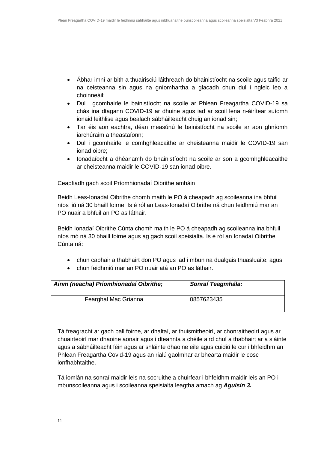- Ábhar imní ar bith a thuairisciú láithreach do bhainistíocht na scoile agus taifid ar na ceisteanna sin agus na gníomhartha a glacadh chun dul i ngleic leo a choinneáil;
- Dul i gcomhairle le bainistíocht na scoile ar Phlean Freagartha COVID-19 sa chás ina dtagann COVID-19 ar dhuine agus iad ar scoil lena n-áirítear suíomh ionaid leithlise agus bealach sábháilteacht chuig an ionad sin;
- Tar éis aon eachtra, déan measúnú le bainistíocht na scoile ar aon ghníomh iarchúraim a theastaíonn;
- Dul i gcomhairle le comhghleacaithe ar cheisteanna maidir le COVID-19 san ionad oibre;
- Ionadaíocht a dhéanamh do bhainistíocht na scoile ar son a gcomhghleacaithe ar cheisteanna maidir le COVID-19 san ionad oibre.

Ceapfiadh gach scoil Príomhionadaí Oibrithe amháin

Beidh Leas-Ionadaí Oibrithe chomh maith le PO á cheapadh ag scoileanna ina bhfuil níos liú ná 30 bhaill foirne. Is é ról an Leas-Ionadaí Oibrithe ná chun feidhmiú mar an PO nuair a bhfuil an PO as láthair.

Beidh Ionadaí Oibrithe Cúnta chomh maith le PO á cheapadh ag scoileanna ina bhfuil níos mó ná 30 bhaill foirne agus ag gach scoil speisialta. Is é ról an Ionadaí Oibrithe Cúnta ná:

- chun cabhair a thabhairt don PO agus iad i mbun na dualgais thuasluaite; agus
- chun feidhmiú mar an PO nuair atá an PO as láthair.

| Ainm (neacha) Príomhionadaí Oibrithe; | Sonraí Teagmhála: |  |  |  |
|---------------------------------------|-------------------|--|--|--|
| Fearghal Mac Grianna                  | 0857623435        |  |  |  |

Tá freagracht ar gach ball foirne, ar dhaltaí, ar thuismitheoirí, ar chonraitheoirí agus ar chuairteoirí mar dhaoine aonair agus i dteannta a chéile aird chuí a thabhairt ar a sláinte agus a sábháilteacht féin agus ar shláinte dhaoine eile agus cuidiú le cur i bhfeidhm an Phlean Freagartha Covid-19 agus an rialú gaolmhar ar bhearta maidir le cosc ionfhabhtaithe.

Tá iomlán na sonraí maidir leis na socruithe a chuirfear i bhfeidhm maidir leis an PO i mbunscoileanna agus i scoileanna speisialta leagtha amach ag *Aguisín 3.*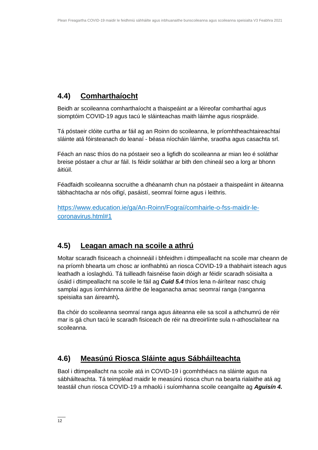## **4.4) Comharthaíocht**

Beidh ar scoileanna comharthaíocht a thaispeáint ar a léireofar comharthaí agus siomptóim COVID-19 agus tacú le sláinteachas maith láimhe agus riospráide.

Tá póstaeir clóite curtha ar fáil ag an Roinn do scoileanna, le príomhtheachtaireachtaí sláinte atá fóirsteanach do leanaí - béasa níocháin láimhe, sraotha agus casachta srl.

Féach an nasc thíos do na póstaeir seo a ligfidh do scoileanna ar mian leo é soláthar breise póstaer a chur ar fáil. Is féidir soláthar ar bith den chineál seo a lorg ar bhonn áitiúil.

Féadfaidh scoileanna socruithe a dhéanamh chun na póstaeir a thaispeáint in áiteanna tábhachtacha ar nós oifigí, pasáistí, seomraí foirne agus i leithris.

[https://www.education.ie/ga/An-Roinn/Fograí/comhairle-o-fss-maidir-le](https://www.education.ie/ga/An-Roinn/Fograí/comhairle-o-fss-maidir-le-coronavirus.html#1)[coronavirus.html#1](https://www.education.ie/ga/An-Roinn/Fograí/comhairle-o-fss-maidir-le-coronavirus.html#1)

### **4.5) Leagan amach na scoile a athrú**

Moltar scaradh fisiceach a choinneáil i bhfeidhm i dtimpeallacht na scoile mar cheann de na príomh bhearta um chosc ar ionfhabhtú an riosca COVID-19 a thabhairt isteach agus leathadh a íoslaghdú. Tá tuilleadh faisnéise faoin dóigh ar féidir scaradh sóisialta a úsáid i dtimpeallacht na scoile le fáil ag *Cuid 5.4* thíos lena n-áirítear nasc chuig samplaí agus íomhánnna áirithe de leaganacha amac seomraí ranga (ranganna speisialta san áireamh)*.* 

Ba chóir do scoileanna seomraí ranga agus áiteanna eile sa scoil a athchumrú de réir mar is gá chun tacú le scaradh fisiceach de réir na dtreoirlínte sula n-athosclaítear na scoileanna.

### **4.6) Measúnú Riosca Sláinte agus Sábháilteachta**

Baol i dtimpeallacht na scoile atá in COVID-19 i gcomhthéacs na sláinte agus na sábháilteachta. Tá teimpléad maidir le measúnú riosca chun na bearta rialaithe atá ag teastáil chun riosca COVID-19 a mhaolú i suíomhanna scoile ceangailte ag *Aguisín 4.*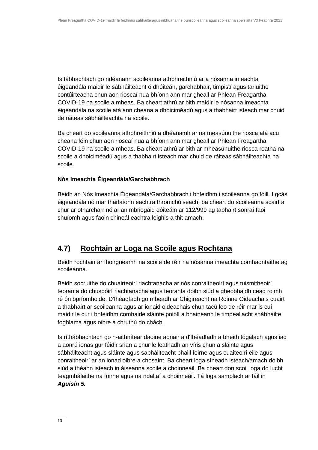Is tábhachtach go ndéanann scoileanna athbhreithniú ar a nósanna imeachta éigeandála maidir le sábháilteacht ó dhóiteán, garchabhair, timpistí agus tarluithe contúirteacha chun aon rioscaí nua bhíonn ann mar gheall ar Phlean Freagartha COVID-19 na scoile a mheas. Ba cheart athrú ar bith maidir le nósanna imeachta éigeandála na scoile atá ann cheana a dhoiciméadú agus a thabhairt isteach mar chuid de ráiteas sábháilteachta na scoile.

Ba cheart do scoileanna athbhreithniú a dhéanamh ar na measúnuithe riosca atá acu cheana féin chun aon rioscaí nua a bhíonn ann mar gheall ar Phlean Freagartha COVID-19 na scoile a mheas. Ba cheart athrú ar bith ar mheasúnuithe riosca reatha na scoile a dhoiciméadú agus a thabhairt isteach mar chuid de ráiteas sábháilteachta na scoile.

#### **Nós Imeachta Éigeandála/Garchabhrach**

Beidh an Nós Imeachta Éigeandála/Garchabhrach i bhfeidhm i scoileanna go fóill. I gcás éigeandála nó mar tharlaíonn eachtra thromchúiseach, ba cheart do scoileanna scairt a chur ar otharcharr nó ar an mbriogáid dóiteáin ar 112/999 ag tabhairt sonraí faoi shuíomh agus faoin chineál eachtra leighis a thit amach.

### **4.7) Rochtain ar Loga na Scoile agus Rochtana**

Beidh rochtain ar fhoirgneamh na scoile de réir na nósanna imeachta comhaontaithe ag scoileanna.

Beidh socruithe do chuairteoirí riachtanacha ar nós conraitheoirí agus tuismitheoirí teoranta do chuspóirí riachtanacha agus teoranta dóibh siúd a gheobhaidh cead roimh ré ón bpríomhoide. D'fhéadfadh go mbeadh ar Chigireacht na Roinne Oideachais cuairt a thabhairt ar scoileanna agus ar ionaid oideachais chun tacú leo de réir mar is cuí maidir le cur i bhfeidhm comhairle sláinte poiblí a bhaineann le timpeallacht shábháilte foghlama agus oibre a chruthú do chách.

Is ríthábhachtach go n-aithnítear daoine aonair a d'fhéadfadh a bheith tógálach agus iad a aonrú ionas gur féidir srian a chur le leathadh an víris chun a sláinte agus sábháilteacht agus sláinte agus sábháilteacht bhaill foirne agus cuaiteoirí eile agus conraitheoirí ar an ionad oibre a chosaint. Ba cheart loga síneadh isteach/amach dóibh siúd a théann isteach in áiseanna scoile a choinneáil. Ba cheart don scoil loga do lucht teagmhálaithe na foirne agus na ndaltaí a choinneáil. Tá loga samplach ar fáil in *Aguisín 5.*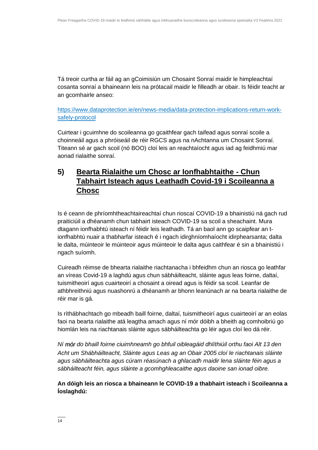Tá treoir curtha ar fáil ag an gCoimisiún um Chosaint Sonraí maidir le himpleachtaí cosanta sonraí a bhaineann leis na prótacail maidir le filleadh ar obair. Is féidir teacht ar an gcomhairle anseo:

[https://www.dataprotection.ie/en/news-media/data-protection-implications-return-work](https://www.dataprotection.ie/en/news-media/data-protection-implications-return-work-safely-protocol)[safely-protocol](https://www.dataprotection.ie/en/news-media/data-protection-implications-return-work-safely-protocol)

Cuirtear i gcuimhne do scoileanna go gcaithfear gach taifead agus sonraí scoile a choinneáil agus a phróiseáil de réir RGCS agus na nAchtanna um Chosaint Sonraí. Titeann sé ar gach scoil (nó BOO) cloí leis an reachtaíocht agus iad ag feidhmiú mar aonad rialaithe sonraí.

### **5) Bearta Rialaithe um Chosc ar Ionfhabhtaithe - Chun Tabhairt Isteach agus Leathadh Covid-19 i Scoileanna a Chosc**

Is é ceann de phríomhtheachtaireachtaí chun rioscaí COVID-19 a bhainistiú ná gach rud praiticiúil a dhéanamh chun tabhairt isteach COVID-19 sa scoil a sheachaint. Mura dtagann ionfhabhtú isteach ní féidir leis leathadh. Tá an baol ann go scaipfear an tionfhabhtú nuair a thabharfar isteach é i ngach idirghníomhaíocht idirphearsanta; dalta le dalta, múinteoir le múinteoir agus múinteoir le dalta agus caithfear é sin a bhainistiú i ngach suíomh.

Cuireadh réimse de bhearta rialaithe riachtanacha i bhfeidhm chun an riosca go leathfar an víreas Covid-19 a laghdú agus chun sábháilteacht, sláinte agus leas foirne, daltaí, tuismitheoirí agus cuairteoirí a chosaint a oiread agus is féidir sa scoil. Leanfar de athbhreithniú agus nuashonrú a dhéanamh ar bhonn leanúnach ar na bearta rialaithe de réir mar is gá.

Is ríthábhachtach go mbeadh baill foirne, daltaí, tuismitheoirí agus cuairteoirí ar an eolas faoi na bearta rialaithe atá leagtha amach agus ní mór dóibh a bheith ag comhoibriú go hiomlán leis na riachtanais sláinte agus sábháilteachta go léir agus cloí leo dá réir.

*Ní mór do bhaill foirne ciuimhneamh go bhfuil oibleagáid dhlíthiúil orthu faoi Alt 13 den Acht um Shábháilteacht, Sláinte agus Leas ag an Obair 2005 cloí le riachtanais sláinte agus sábháilteachta agus cúram réasúnach a ghlacadh maidir lena sláinte féin agus a sábháilteacht féin, agus sláinte a gcomhghleacaithe agus daoine san ionad oibre.* 

**An dóigh leis an riosca a bhaineann le COVID-19 a thabhairt isteach i Scoileanna a Íoslaghdú:**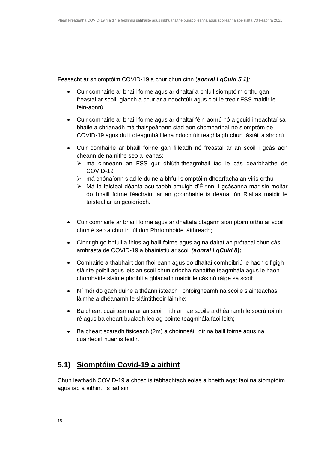Feasacht ar shiomptóim COVID-19 a chur chun cinn (*sonraí i gCuid 5.1);*

- Cuir comhairle ar bhaill foirne agus ar dhaltaí a bhfuil siomptóim orthu gan freastal ar scoil, glaoch a chur ar a ndochtúir agus cloí le treoir FSS maidir le féin-aonrú;
- Cuir comhairle ar bhaill foirne agus ar dhaltaí féin-aonrú nó a gcuid imeachtaí sa bhaile a shrianadh má thaispeánann siad aon chomharthaí nó siomptóm de COVID-19 agus dul i dteagmháil lena ndochtúir teaghlaigh chun tástáil a shocrú
- Cuir comhairle ar bhaill foirne gan filleadh nó freastal ar an scoil i gcás aon cheann de na nithe seo a leanas:
	- ➢ má cinneann an FSS gur dhlúth-theagmháil iad le cás dearbhaithe de COVID-19
	- ➢ má chónaíonn siad le duine a bhfuil siomptóim dhearfacha an viris orthu
	- ➢ Má tá taisteal déanta acu taobh amuigh d'Éirinn; i gcásanna mar sin moltar do bhaill foirne féachaint ar an gcomhairle is déanaí ón Rialtas maidir le taisteal ar an gcoigríoch.
- Cuir comhairle ar bhaill foirne agus ar dhaltaía dtagann siomptóim orthu ar scoil chun é seo a chur in iúl don Phríomhoide láithreach;
- Cinntigh go bhfuil a fhios ag baill foirne agus ag na daltaí an prótacal chun cás amhrasta de COVID-19 a bhainistiú ar scoil *(sonraí i gCuid 8);*
- Comhairle a thabhairt don fhoireann agus do dhaltaí comhoibriú le haon oifigigh sláinte poiblí agus leis an scoil chun críocha rianaithe teagmhála agus le haon chomhairle sláinte phoiblí a ghlacadh maidir le cás nó ráige sa scoil;
- Ní mór do gach duine a théann isteach i bhfoirgneamh na scoile sláinteachas láimhe a dhéanamh le sláintitheoir láimhe:
- Ba cheart cuairteanna ar an scoil i rith an lae scoile a dhéanamh le socrú roimh ré agus ba cheart bualadh leo ag pointe teagmhála faoi leith;
- Ba cheart scaradh fisiceach (2m) a choinneáil idir na baill foirne agus na cuairteoirí nuair is féidir.

### **5.1) Siomptóim Covid-19 a aithint**

Chun leathadh COVID-19 a chosc is tábhachtach eolas a bheith agat faoi na siomptóim agus iad a aithint. Is iad sin: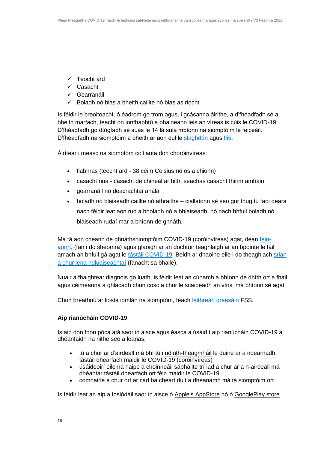- ✓ Teocht ard
- ✓ Casacht
- ✓ Gearranáil
- ✓ Boladh nó blas a bheith caillte nó blas as riocht

Is féidir le breoiteacht, ó éadrom go trom agus, i gcásanna áirithe, a d'fhéadfadh sé a bheith marfach, teacht ón ionfhabhtú a bhaineann leis an víreas is cúis le COVID-19. D'fhéadfadh go dtógfadh sé suas le 14 lá sula mbíonn na siomptóim le feiceáil. D'fhéadfadh na siomptóim a bheith ar aon dul le [slaghdán](https://www2.hse.ie/conditions/common-cold.html) agus [fliú.](https://www2.hse.ie/conditions/flu/flu-symptoms-and-diagnosis.html)

Áirítear i measc na siomptóm coitianta don choróinvíreas:

- fiabhras (teocht ard 38 céim Celsius nó os a chionn)
- casacht nua casacht de chineál ar bith, seachas casacht thirim amháin
- gearranáil nó deacrachtaí anála
- boladh nó blaiseadh caillte nó athraithe ciallaíonn sé seo gur thug tú faoi deara nach féidir leat aon rud a bholadh nó a bhlaiseadh, nó nach bhfuil boladh nó blaiseadh rudaí mar a bhíonn de ghnáth.

Má tá aon cheann de ghnáthshiomptóim COVID-19 (coróinvíreas) agat, déan [féin](https://www2.hse.ie/conditions/coronavirus/self-isolation/how-to-self-isolate.html)[aonrú](https://www2.hse.ie/conditions/coronavirus/self-isolation/how-to-self-isolate.html) (fan i do sheomra) agus glaoigh ar an dochtúir teaghlaigh ar an bpointe le fáil amach an bhfuil gá agat le [tástáil COVID-19.](https://www2.hse.ie/conditions/coronavirus/testing/how-to-get-tested.html) Beidh ar dhaoine eile i do theaghlach [srian](https://www2.hse.ie/conditions/coronavirus/managing-coronavirus-at-home/if-you-live-with-someone-who-has-coronavirus.html)  [a chur lena ngluaiseachtaí](https://www2.hse.ie/conditions/coronavirus/managing-coronavirus-at-home/if-you-live-with-someone-who-has-coronavirus.html) (fanacht sa bhaile).

Nuair a fhaightear diagnóis go luath, is féidir leat an cúnamh a bhíonn de dhíth ort a fháil agus céimeanna a ghlacadh chun cosc a chur le scaipeadh an víris, má bhíonn sé agat.

Chun breathnú ar liosta iomlán na siomptóm, féach [láithreán](https://www2.hse.ie/conditions/coronavirus/symptoms.html) gréasáin FSS.

### **Aip rianúcháin COVID-19**

Is aip don fhón póca atá saor in aisce agus éasca a úsáid í aip rianúcháin COVID-19 a dhéanfaidh na nithe seo a leanas:

- tú a chur ar d'airdeall má bhí tú i ndlúth-theagmháil le duine ar a ndearnadh tástáil dhearfach maidir le COVID-19 (coróinvíreas)
- úsáideoirí eile na haipe a choinneáil sábháilte trí iad a chur ar a n-airdeall má dhéantar tástáil dhearfach ort féin maidir le COVID-19
- comhairle a chur ort ar cad ba cheart duit a dhéanamh má tá siomptóim ort

Is féidir leat an aip a íoslódáil saor in aisce ó [Apple's AppStore](https://apps.apple.com/ie/app/covid-tracker-ireland/id1505596721) nó ó [GooglePlay store](https://play.google.com/store/apps/details?id=com.covidtracker.hse)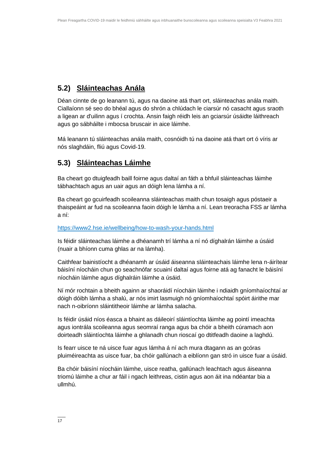### **5.2) Sláinteachas Anála**

Déan cinnte de go leanann tú, agus na daoine atá thart ort, sláinteachas anála maith. Ciallaíonn sé seo do bhéal agus do shrón a chlúdach le ciarsúr nó casacht agus sraoth a ligean ar d'uilinn agus í crochta. Ansin faigh réidh leis an gciarsúr úsáidte láithreach agus go sábháilte i mbocsa bruscair in aice láimhe.

Má leanann tú sláinteachas anála maith, cosnóidh tú na daoine atá thart ort ó víris ar nós slaghdáin, fliú agus Covid-19.

### **5.3) Sláinteachas Láimhe**

Ba cheart go dtuigfeadh baill foirne agus daltaí an fáth a bhfuil sláinteachas láimhe tábhachtach agus an uair agus an dóigh lena lámha a ní.

Ba cheart go gcuirfeadh scoileanna sláinteachas maith chun tosaigh agus póstaeir a thaispeáint ar fud na scoileanna faoin dóigh le lámha a ní. Lean treoracha FSS ar lámha a ní:

#### <https://www2.hse.ie/wellbeing/how-to-wash-your-hands.html>

Is féidir sláinteachas láimhe a dhéanamh trí lámha a ní nó díghalrán láimhe a úsáid (nuair a bhíonn cuma ghlas ar na lámha).

Caithfear bainistíocht a dhéanamh ar úsáid áiseanna sláinteachais láimhe lena n-áirítear báisíní níocháin chun go seachnófar scuainí daltaí agus foirne atá ag fanacht le báisíní níocháin láimhe agus díghalráin láimhe a úsáid.

Ní mór rochtain a bheith againn ar shaoráidí níocháin láimhe i ndiaidh gníomhaíochtaí ar dóigh dóibh lámha a shalú, ar nós imirt lasmuigh nó gníomhaíochtaí spóirt áirithe mar nach n-oibríonn sláintitheoir láimhe ar lámha salacha.

Is féidir úsáid níos éasca a bhaint as dáileoirí sláintíochta láimhe ag pointí imeachta agus iontrála scoileanna agus seomraí ranga agus ba chóir a bheith cúramach aon doirteadh sláintíochta láimhe a ghlanadh chun rioscaí go dtitfeadh daoine a laghdú.

Is fearr uisce te ná uisce fuar agus lámha á ní ach mura dtagann as an gcóras pluiméireachta as uisce fuar, ba chóir gallúnach a eiblíonn gan stró in uisce fuar a úsáid.

Ba chóir báisíní níocháin láimhe, uisce reatha, gallúnach leachtach agus áiseanna triomú láimhe a chur ar fáil i ngach leithreas, cistin agus aon áit ina ndéantar bia a ullmhú.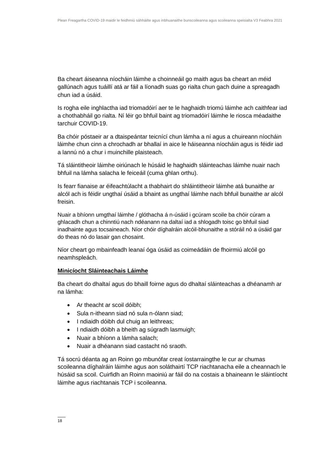Ba cheart áiseanna níocháin láimhe a choinneáil go maith agus ba cheart an méid gallúnach agus tuáillí atá ar fáil a líonadh suas go rialta chun gach duine a spreagadh chun iad a úsáid.

Is rogha eile inghlactha iad triomadóirí aer te le haghaidh triomú láimhe ach caithfear iad a chothabháil go rialta. Ní léir go bhfuil baint ag triomadóirí láimhe le riosca méadaithe tarchuir COVID-19.

Ba chóir póstaeir ar a dtaispeántar teicnící chun lámha a ní agus a chuireann níocháin láimhe chun cinn a chrochadh ar bhallaí in aice le háiseanna níocháin agus is féidir iad a lannú nó a chur i muinchille plaisteach.

Tá sláintitheoir láimhe oiriúnach le húsáid le haghaidh sláinteachas láimhe nuair nach bhfuil na lámha salacha le feiceáil (cuma ghlan orthu).

Is fearr fianaise ar éifeachtúlacht a thabhairt do shláintitheoir láimhe atá bunaithe ar alcól ach is féidir ungthaí úsáid a bhaint as ungthaí láimhe nach bhfuil bunaithe ar alcól freisin.

Nuair a bhíonn umgthaí láimhe / glóthacha á n-úsáid i gcúram scoile ba chóir cúram a ghlacadh chun a chinntiú nach ndéanann na daltaí iad a shlogadh toisc go bhfuil siad inadhainte agus tocsaineach. Níor chóir díghalráin alcóil-bhunaithe a stóráil nó a úsáid gar do theas nó do lasair gan chosaint.

Níor cheart go mbainfeadh leanaí óga úsáid as coimeádáin de fhoirmiú alcóil go neamhspleách.

### **Minicíocht Sláinteachais Láimhe**

Ba cheart do dhaltaí agus do bhaill foirne agus do dhaltaí sláinteachas a dhéanamh ar na lámha:

- Ar theacht ar scoil dóibh;
- Sula n-itheann siad nó sula n-ólann siad;
- I ndiaidh dóibh dul chuig an leithreas;
- I ndiaidh dóibh a bheith ag súgradh lasmuigh;
- Nuair a bhíonn a lámha salach;
- Nuair a dhéanann siad castacht nó sraoth.

Tá socrú déanta ag an Roinn go mbunófar creat íostarraingthe le cur ar chumas scoileanna díghalráin láimhe agus aon soláthairtí TCP riachtanacha eile a cheannach le húsáid sa scoil. Cuirfidh an Roinn maoiniú ar fáil do na costais a bhaineann le sláintíocht láimhe agus riachtanais TCP i scoileanna.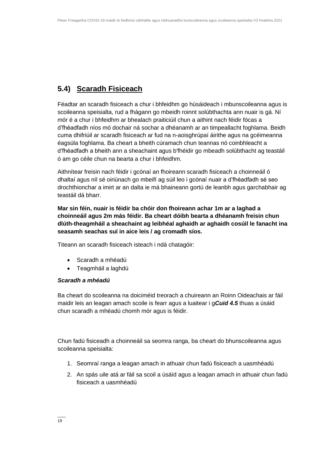### **5.4) Scaradh Fisiceach**

Féadtar an scaradh fisiceach a chur i bhfeidhm go húsáideach i mbunscoileanna agus is scoileanna speisialta, rud a fhágann go mbeidh roinnt solúbthachta ann nuair is gá. Ní mór é a chur i bhfeidhm ar bhealach praiticiúil chun a aithint nach féidir fócas a d'fhéadfadh níos mó dochair ná sochar a dhéanamh ar an timpeallacht foghlama. Beidh cuma dhifriúil ar scaradh fisiceach ar fud na n-aoisghrúpaí áirithe agus na gcéimeanna éagsúla foghlama. Ba cheart a bheith cúramach chun teannas nó coinbhleacht a d'fhéadfadh a bheith ann a sheachaint agus b'fhéidir go mbeadh solúbthacht ag teastáil ó am go céile chun na bearta a chur i bhfeidhm.

Aithnítear freisin nach féidir i gcónaí an fhoireann scaradh fisiceach a choinneáil ó dhaltaí agus níl sé oiriúnach go mbeifí ag súil leo i gcónaí nuair a d'fhéadfadh sé seo drochthionchar a imirt ar an dalta ie má bhaineann gortú de leanbh agus garchabhair ag teastáil dá bharr.

**Mar sin féin, nuair is féidir ba chóir don fhoireann achar 1m ar a laghad a choinneáil agus 2m más féidir. Ba cheart dóibh bearta a dhéanamh freisin chun dlúth-theagmháil a sheachaint ag leibhéal aghaidh ar aghaidh cosúil le fanacht ina seasamh seachas suí in aice leis / ag cromadh síos.**

Titeann an scaradh fisiceach isteach i ndá chatagóir:

- Scaradh a mhéadú
- Teagmháil a laghdú

#### *Scaradh a mhéadú*

Ba cheart do scoileanna na doiciméid treorach a chuireann an Roinn Oideachais ar fáil maidir leis an leagan amach scoile is fearr agus a luaitear i g*Cuid 4.5* thuas a úsáid chun scaradh a mhéadú chomh mór agus is féidir.

Chun fadú fisiceadh a choinneáil sa seomra ranga, ba cheart do bhunscoileanna agus scoileanna speisialta:

- 1. Seomraí ranga a leagan amach in athuair chun fadú fisiceach a uasmhéadú
- 2. An spás uile atá ar fáil sa scoil a úsáíd agus a leagan amach in athuair chun fadú fisiceach a uasmhéadú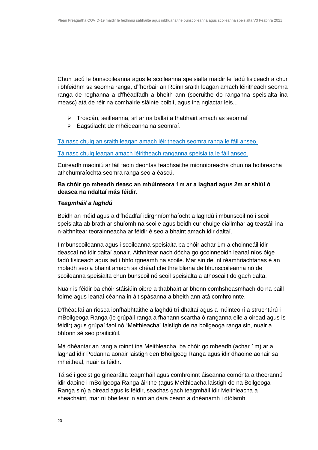Chun tacú le bunscoileanna agus le scoileanna speisialta maidir le fadú fisiceach a chur i bhfeidhm sa seomra ranga, d'fhorbair an Roinn sraith leagan amach léiritheach seomra ranga de roghanna a d'fhéadfadh a bheith ann (socruithe do ranganna speisialta ina measc) atá de réir na comhairle sláinte poiblí, agus ina nglactar leis...

- ➢ Troscán, seilfeanna, srl ar na ballaí a thabhairt amach as seomraí
- ➢ Éagsúlacht de mhéideanna na seomraí.

#### [Tá nasc chuig an sraith leagan amach léiritheach seomra ranga le fáil anseo.](file:///C:/Users/caroline_curran/AppData/Local/Microsoft/Windows/INetCache/Content.Outlook/8PSJ2137/Tánascchuigansraithleaganamachléiritheachseomrarangalefáilanseo)

#### [Tá nasc chuig leagan amach léiritheach ranganna speisialta le fáil anseo.](file:///C:/Users/caroline_curran/AppData/Local/Microsoft/Windows/INetCache/Content.Outlook/8PSJ2137/Tánascchuigleaganamachléiritheachrangannaspeisialtalefáilanseo)

Cuireadh maoiniú ar fáil faoin deontas feabhsaithe mionoibreacha chun na hoibreacha athchumraíochta seomra ranga seo a éascú.

#### **Ba chóir go mbeadh deasc an mhúinteora 1m ar a laghad agus 2m ar shiúl ó deasca na ndaltaí más féidir.**

#### *Teagmháil a laghdú*

Beidh an méid agus a d'fhéadfaí idirghníomhaíocht a laghdú i mbunscoil nó i scoil speisialta ab brath ar shuíomh na scoile agus beidh cur chuige ciallmhar ag teastáil ina n-aithnítear teorainneacha ar féidir é seo a bhaint amach idir daltaí.

I mbunscoileanna agus i scoileanna speisialta ba chóir achar 1m a choinneáil idir deascaí nó idir daltaí aonair. Aithnítear nach dócha go gcoinneoidh leanaí níos óige fadú fisiceach agus iad i bhfoirgneamh na scoile. Mar sin de, ní réamhriachtanas é an moladh seo a bhaint amach sa chéad cheithre bliana de bhunscoileanna nó de scoileanna speisialta chun bunscoil nó scoil speisialta a athoscailt do gach dalta.

Nuair is féidir ba chóir stáisiúin oibre a thabhairt ar bhonn comhsheasmhach do na baill foirne agus leanaí céanna in áit spásanna a bheith ann atá comhroinnte.

D'fhéadfaí an riosca ionfhabhtaithe a laghdú trí dhaltaí agus a múinteoirí a struchtúrú i mBoilgeoga Ranga (ie grúpáil ranga a fhanann scartha ó ranganna eile a oiread agus is féidir) agus grúpaí faoi nó "Meithleacha" laistigh de na boilgeoga ranga sin, nuair a bhíonn sé seo praiticiúil.

Má dhéantar an rang a roinnt ina Meithleacha, ba chóir go mbeadh (achar 1m) ar a laghad idir Podanna aonair laistigh den Bhoilgeog Ranga agus idir dhaoine aonair sa mheitheal, nuair is féidir.

Tá sé i gceist go ginearálta teagmháil agus comhroinnt áiseanna comónta a theorannú idir daoine i mBoilgeoga Ranga áirithe (agus Meithleacha laistigh de na Boilgeoga Ranga sin) a oiread agus is féidir, seachas gach teagmháil idir Meithleacha a sheachaint, mar ní bheifear in ann an dara ceann a dhéanamh i dtólamh.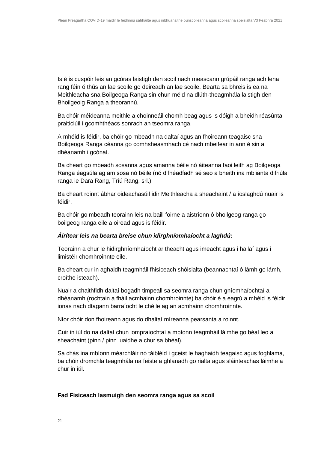Is é is cuspóir leis an gcóras laistigh den scoil nach meascann grúpáil ranga ach lena rang féin ó thús an lae scoile go deireadh an lae scoile. Bearta sa bhreis is ea na Meithleacha sna Boilgeoga Ranga sin chun méid na dlúth-theagmhála laistigh den Bhoilgeoig Ranga a theorannú.

Ba chóir méideanna meithle a choinneáil chomh beag agus is dóigh a bheidh réasúnta praiticiúil i gcomhthéacs sonrach an tseomra ranga.

A mhéid is féidir, ba chóir go mbeadh na daltaí agus an fhoireann teagaisc sna Boilgeoga Ranga céanna go comhsheasmhach cé nach mbeifear in ann é sin a dhéanamh i gcónaí.

Ba cheart go mbeadh sosanna agus amanna béile nó áiteanna faoi leith ag Boilgeoga Ranga éagsúla ag am sosa nó béile (nó d'fhéadfadh sé seo a bheith ina mblianta difriúla ranga ie Dara Rang, Tríú Rang, srl.)

Ba cheart roinnt ábhar oideachasúil idir Meithleacha a sheachaint / a íoslaghdú nuair is féidir.

Ba chóir go mbeadh teorainn leis na baill foirne a aistríonn ó bhoilgeog ranga go boilgeog ranga eile a oiread agus is féidir.

#### *Áirítear leis na bearta breise chun idirghníomhaíocht a laghdú:*

Teorainn a chur le hidirghníomhaíocht ar theacht agus imeacht agus i hallaí agus i limistéir chomhroinnte eile.

Ba cheart cur in aghaidh teagmháil fhisiceach shóisialta (beannachtaí ó lámh go lámh, croíthe isteach).

Nuair a chaithfidh daltaí bogadh timpeall sa seomra ranga chun gníomhaíochtaí a dhéanamh (rochtain a fháil acmhainn chomhroinnte) ba chóir é a eagrú a mhéid is féidir ionas nach dtagann barraíocht le chéile ag an acmhainn chomhroinnte.

Níor chóir don fhoireann agus do dhaltaí míreanna pearsanta a roinnt.

Cuir in iúl do na daltaí chun iompraíochtaí a mbíonn teagmháil láimhe go béal leo a sheachaint (pinn / pinn luaidhe a chur sa bhéal).

Sa chás ina mbíonn méarchláir nó táibléid i gceist le haghaidh teagaisc agus foghlama, ba chóir dromchla teagmhála na feiste a ghlanadh go rialta agus sláinteachas láimhe a chur in iúl.

#### **Fad Fisiceach lasmuigh den seomra ranga agus sa scoil**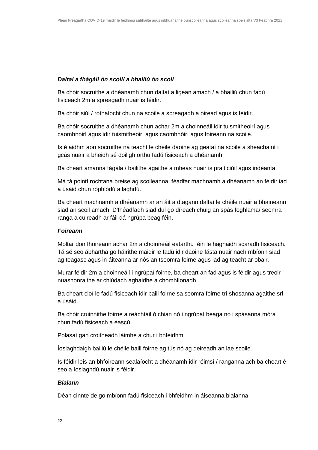#### *Daltaí a fhágáil ón scoil/ a bhailiú ón scoil*

Ba chóir socruithe a dhéanamh chun daltaí a ligean amach / a bhailiú chun fadú fisiceach 2m a spreagadh nuair is féidir.

Ba chóir siúl / rothaíocht chun na scoile a spreagadh a oiread agus is féidir.

Ba chóir socruithe a dhéanamh chun achar 2m a choinneáil idir tuismitheoirí agus caomhnóirí agus idir tuismitheoirí agus caomhnóirí agus foireann na scoile.

Is é aidhm aon socruithe ná teacht le chéile daoine ag geataí na scoile a sheachaint i gcás nuair a bheidh sé doiligh orthu fadú fisiceach a dhéanamh

Ba cheart amanna fágála / bailithe agaithe a mheas nuair is praiticiúil agus indéanta.

Má tá pointí rochtana breise ag scoileanna, féadfar machnamh a dhéanamh an féidir iad a úsáid chun róphlódú a laghdú.

Ba cheart machnamh a dhéanamh ar an áit a dtagann daltaí le chéile nuair a bhaineann siad an scoil amach. D'fhéadfadh siad dul go díreach chuig an spás foghlama/ seomra ranga a cuireadh ar fáil dá ngrúpa beag féin.

#### *Foireann*

Moltar don fhoireann achar 2m a choinneáil eatarthu féin le haghaidh scaradh fisiceach. Tá sé seo ábhartha go háirithe maidir le fadú idir daoine fásta nuair nach mbíonn siad ag teagasc agus in áiteanna ar nós an tseomra foirne agus iad ag teacht ar obair.

Murar féidir 2m a choinneáil i ngrúpaí foirne, ba cheart an fad agus is féidir agus treoir nuashonraithe ar chlúdach aghaidhe a chomhlíonadh.

Ba cheart cloí le fadú fisiceach idir baill foirne sa seomra foirne trí shosanna agaithe srl a úsáid.

Ba chóir cruinnithe foirne a reáchtáil ó chian nó i ngrúpaí beaga nó i spásanna móra chun fadú fisiceach a éascú.

Polasaí gan croitheadh láimhe a chur i bhfeidhm.

Íoslaghdaigh bailiú le chéile baill foirne ag tús nó ag deireadh an lae scoile.

Is féidir leis an bhfoireann sealaíocht a dhéanamh idir réimsí / ranganna ach ba cheart é seo a íoslaghdú nuair is féidir.

#### *Bialann*

Déan cinnte de go mbíonn fadú fisiceach i bhfeidhm in áiseanna bialanna.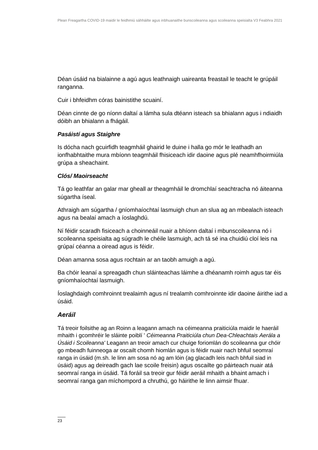Déan úsáid na bialainne a agú agus leathnaigh uaireanta freastail le teacht le grúpáil ranganna.

Cuir i bhfeidhm córas bainistithe scuainí.

Déan cinnte de go níonn daltaí a lámha sula dtéann isteach sa bhialann agus i ndiaidh dóibh an bhialann a fhágáil.

#### *Pasáistí agus Staighre*

Is dócha nach gcuirfidh teagmháil ghairid le duine i halla go mór le leathadh an ionfhabhtaithe mura mbíonn teagmháil fhisiceach idir daoine agus plé neamhfhoirmiúla grúpa a sheachaint.

#### *Clós/ Maoirseacht*

Tá go leathfar an galar mar gheall ar theagmháil le dromchlaí seachtracha nó áiteanna súgartha íseal.

Athraigh am súgartha / gníomhaíochtaí lasmuigh chun an slua ag an mbealach isteach agus na bealaí amach a íoslaghdú.

Ní féidir scaradh fisiceach a choinneáil nuair a bhíonn daltaí i mbunscoileanna nó i scoileanna speisialta ag súgradh le chéile lasmuigh, ach tá sé ina chuidiú cloí leis na grúpaí céanna a oiread agus is féidir.

Déan amanna sosa agus rochtain ar an taobh amuigh a agú.

Ba chóir leanaí a spreagadh chun sláinteachas láimhe a dhéanamh roimh agus tar éis gníomhaíochtaí lasmuigh.

Íoslaghdaigh comhroinnt trealaimh agus ní trealamh comhroinnte idir daoine áirithe iad a úsáid.

### *Aeráil*

Tá treoir foilsithe ag an Roinn a leagann amach na céimeanna praiticiúla maidir le haeráil mhaith i gcomhréir le sláinte poiblí ' *Céimeanna Praiticiúla chun Dea-Chleachtais Aerála a Úsáid i Scoileanna'* Leagann an treoir amach cur chuige foriomlán do scoileanna gur chóir go mbeadh fuinneoga ar oscailt chomh hiomlán agus is féidir nuair nach bhfuil seomraí ranga in úsáid (m.sh. le linn am sosa nó ag am lóin (ag glacadh leis nach bhfuil siad in úsáid) agus ag deireadh gach lae scoile freisin) agus oscailte go páirteach nuair atá seomraí ranga in úsáid. Tá foráil sa treoir gur féidir aeráil mhaith a bhaint amach i seomraí ranga gan míchompord a chruthú, go háirithe le linn aimsir fhuar.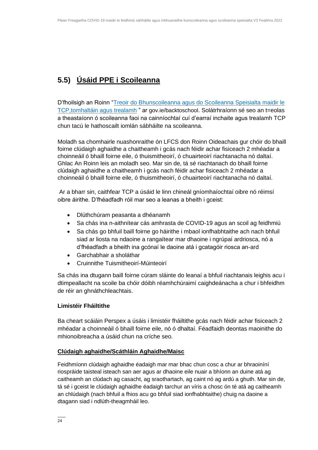### **5.5) Úsáid PPE i Scoileanna**

D'fhoilsigh an Roinn ["Treoir do Bhunscoileanna agus do Scoileanna Speisialta maidir le](file:///C:/Users/caroline_curran/AppData/Local/Microsoft/Windows/INetCache/Content.Outlook/8PSJ2137/TreoirdoBhunscoileannaagusdoScoileannaSpeisialtamaidirleTCP,tomhaltáinagustrealamh)  [TCP,tomhaltáin agus trealamh](file:///C:/Users/caroline_curran/AppData/Local/Microsoft/Windows/INetCache/Content.Outlook/8PSJ2137/TreoirdoBhunscoileannaagusdoScoileannaSpeisialtamaidirleTCP,tomhaltáinagustrealamh) " ar [gov.ie/backtoschool](http://www.gov.ie/backtoschool). Solátrhraíonn sé seo an t=eolas a theastaíonn ó scoileanna faoi na cainníochtaí cuí d'earraí inchaite agus trealamh TCP chun tacú le hathoscailt iomlán sábháilte na scoileanna.

Moladh sa chomhairle nuashonraithe ón LFCS don Roinn Oideachais gur chóir do bhaill foirne clúdaigh aghaidhe a chaitheamh i gcás nach féidir achar fisiceach 2 mhéadar a choinneáil ó bhaill foirne eile, ó thuismitheoirí, ó chuairteoirí riachtanacha nó daltaí. Ghlac An Roinn leis an moladh seo. Mar sin de, tá sé riachtanach do bhaill foirne clúdaigh aghaidhe a chaitheamh i gcás nach féidir achar fisiceach 2 mhéadar a choinneáil ó bhaill foirne eile, ó thuismitheoirí, ó chuairteoirí riachtanacha nó daltaí.

Ar a bharr sin, caithfear TCP a úsáid le linn chineál gníomhaíochtaí oibre nó réimsí oibre áirithe. D'fhéadfadh róil mar seo a leanas a bheith i gceist:

- Dlúthchúram peasanta a dhéanamh
- Sa chás ina n-aithnítear cás amhrasta de COVID-19 agus an scoil ag feidhmiú
- Sa chás go bhfuil baill foirne go háirithe i mbaol ionfhabhtaithe ach nach bhfuil siad ar liosta na ndaoine a rangaítear mar dhaoine i ngrúpaí ardriosca, nó a d'fhéadfadh a bheith ina gcónaí le daoine atá i gcatagóir riosca an-ard
- Garchabhair a sholáthar
- Cruinnithe Tuismitheoirí-Múinteoirí

Sa chás ina dtugann baill foirne cúram sláinte do leanaí a bhfuil riachtanais leighis acu i dtimpeallacht na scoile ba chóir dóibh réamhchúraimí caighdeánacha a chur i bhfeidhm de réir an ghnáthchleachtais.

#### **Limistéir Fháiltithe**

Ba cheart scáiáin Perspex a úsáis i limistéir fháiltithe gcás nach féidir achar fisiceach 2 mhéadar a choinneáil ó bhaill foirne eile, nó ó dhaltaí. Féadfaidh deontas maoinithe do mhionoibreacha a úsáid chun na críche seo.

#### **Clúdaigh aghaidhe/Scáthláin Aghaidhe/Maisc**

Feidhmíonn clúdaigh aghaidhe éadaigh mar mar bhac chun cosc a chur ar bhraoiníní riospráide taisteal isteach san aer agus ar dhaoine eile nuair a bhíonn an duine atá ag caitheamh an clúdach ag casacht, ag sraothartach, ag caint nó ag ardú a ghuth. Mar sin de, tá sé i gceist le clúdaigh aghaidhe éadaigh tarchur an víris a chosc ón té atá ag caitheamh an chlúdaigh (nach bhfuil a fhios acu go bhfuil siad ionfhabhtaithe) chuig na daoine a dtagann siad i ndlúth-theagmháil leo.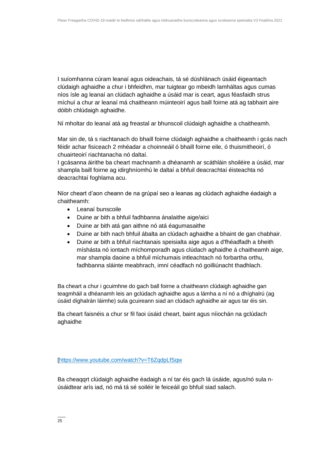I suíomhanna cúram leanaí agus oideachais, tá sé dúshlánach úsáid éigeantach clúdaigh aghaidhe a chur i bhfeidhm, mar tuigtear go mbeidh lamháltas agus cumas níos ísle ag leanaí an clúdach aghaidhe a úsáid mar is ceart, agus féasfaidh strus míchuí a chur ar leanaí má chaitheann múinteoirí agus baill foirne atá ag tabhairt aire dóibh chlúdaigh aghaidhe.

Ní mholtar do leanaí atá ag freastal ar bhunscoil clúdaigh aghaidhe a chaitheamh.

Mar sin de, tá s riachtanach do bhaill foirne clúdaigh aghaidhe a chaitheamh i gcás nach féidir achar fisiceach 2 mhéadar a choinneáil ó bhaill foirne eile, ó thuismitheoirí, ó chuairteoirí riachtanacha nó daltaí.

I gcásanna áirithe ba cheart machnamh a dhéanamh ar scáthláin shoiléire a úsáid, mar shampla baill foirne ag idirghníomhú le daltaí a bhfuil deacrachtaí éisteachta nó deacrachtaí foghlama acu.

Níor cheart d'aon cheann de na grúpaí seo a leanas ag clúdach aghaidhe éadaigh a chaitheamh:

- Leanaí bunscoile
- Duine ar bith a bhfuil fadhbanna ánalaithe aige/aici
- Duine ar bith atá gan aithne nó atá éagumasaithe
- Duine ar bith nach bhfuil ábalta an clúdach aghaidhe a bhaint de gan chabhair.
- Duine ar bith a bhfuil riachtanais speisialta aige agus a d'fhéadfadh a bheith míshásta nó iontach míchomporadh agus clúdach aghaidhe á chaitheamh aige, mar shampla daoine a bhfuil míchumais intleachtach nó forbartha orthu, fadhbanna sláinte meabhrach, imní céadfach nó goilliúnacht thadhlach.

Ba cheart a chur i gcuimhne do gach ball foirne a chaitheann clúdaigh aghaidhe gan teagmháil a dhéanamh leis an gclúdach aghaidhe agus a lámha a ní nó a dhíghalrú (ag úsáid díghalrán láimhe) sula gcuireann siad an clúdach aghaidhe air agus tar éis sin.

Ba cheart faisnéis a chur sr fil faoi úsáid cheart, baint agus níiochán na gclúdach aghaidhe

[\[https://www.youtube.com/watch?v=T6ZqdpLfSqw](https://www.youtube.com/watch?v=T6ZqdpLfSqw)

Ba cheaqqrt clúdaigh aghaidhe éadaigh a ní tar éis gach lá úsáide, agus/nó sula núsáidtear arís iad, nó má tá sé soiléir le feiceáil go bhfuil siad salach.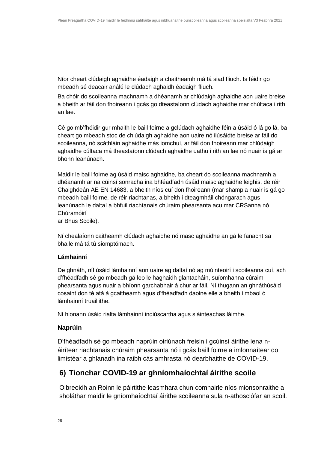Níor cheart clúdaigh aghaidhe éadaigh a chaitheamh má tá siad fliuch. Is féidir go mbeadh sé deacair análú le clúdach aghaidh éadaigh fliuch.

Ba chóir do scoileanna machnamh a dhéanamh ar chlúdaigh aghaidhe aon uaire breise a bheith ar fáil don fhoireann i gcás go dteastaíonn clúdach aghaidhe mar chúltaca i rith an lae.

Cé go mb'fhéidir gur mhaith le baill foirne a gclúdach aghaidhe féin a úsáid ó lá go lá, ba cheart go mbeadh stoc de chlúdaigh aghaidhe aon uaire nó ilúsáidte breise ar fáil do scoileanna, nó scáthláin aghaidhe más iomchuí, ar fáil don fhoireann mar chlúdaigh aghaidhe cúltaca má theastaíonn clúdach aghaidhe uathu i rith an lae nó nuair is gá ar bhonn leanúnach.

Maidir le baill foirne ag úsáid maisc aghaidhe, ba cheart do scoileanna machnamh a dhéanamh ar na cúinsí sonracha ina bhféadfadh úsáid maisc aghaidhe leighis, de réir Chaighdeán AE EN 14683, a bheith níos cuí don fhoireann (mar shampla nuair is gá go mbeadh baill foirne, de réir riachtanas, a bheith i dteagmháil chóngarach agus leanúnach le daltaí a bhfuil riachtanais chúraim phearsanta acu mar CRSanna nó Chúramóirí

ar Bhus Scoile).

Ní chealaíonn caitheamh clúdach aghaidhe nó masc aghaidhe an gá le fanacht sa bhaile má tá tú siomptómach.

### **Lámhainní**

De ghnáth, níl úsáid lámhainní aon uaire ag daltaí nó ag múinteoirí i scoileanna cuí, ach d'fhéadfadh sé go mbeadh gá leo le haghaidh glantacháin, suíomhanna cúraim phearsanta agus nuair a bhíonn garchabhair á chur ar fáil. Ní thugann an ghnáthúsáid cosaint don té atá á gcaitheamh agus d'fhéadfadh daoine eile a bheith i mbaol ó lámhainní truaillithe.

Ní hionann úsáid rialta lámhainní indiúscartha agus sláinteachas láimhe.

### **Naprúin**

D'fhéadfadh sé go mbeadh naprúin oiriúnach freisin i gcúinsí áirithe lena náirítear riachtanais chúraim phearsanta nó i gcás baill foirne a imlonnaítear do limistéar a ghlanadh ina raibh cás amhrasta nó dearbhaithe de COVID-19.

### **6) Tionchar COVID-19 ar ghníomhaíochtaí áirithe scoile**

Oibreoidh an Roinn le páirtithe leasmhara chun comhairle níos mionsonraithe a sholáthar maidir le gníomhaíochtaí áirithe scoileanna sula n-athosclófar an scoil.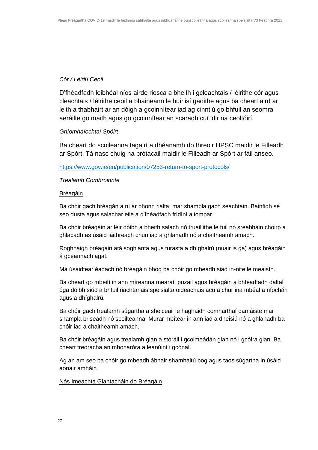### *Cór / Léiriú Ceoil*

D'fhéadfadh leibhéal níos airde riosca a bheith i gcleachtais / léirithe cór agus cleachtais / léirithe ceoil a bhaineann le huirlisí gaoithe agus ba cheart aird ar leith a thabhairt ar an dóigh a gcoinnítear iad ag cinntiú go bhfuil an seomra aeráilte go maith agus go gcoinnítear an scaradh cuí idir na ceoltóirí.

#### *Gníomhaíochtaí Spóirt*

Ba cheart do scoileanna tagairt a dhéanamh do threoir HPSC maidir le Filleadh ar Spórt. Tá nasc chuig na prótacail maidir le Filleadh ar Spórt ar fáil anseo.

#### <https://www.gov.ie/en/publication/07253-return-to-sport-protocols/>

#### *Trealamh Comhroinnte*

#### Bréagáin

Ba chóir gach bréagán a ní ar bhonn rialta, mar shampla gach seachtain. Bainfidh sé seo dusta agus salachar eile a d'fhéadfadh frídíní a iompar.

Ba chóir bréagáin ar léir dóibh a bheith salach nó truaillithe le fuil nó sreabháin choirp a ghlacadh as úsáid láithreach chun iad a ghlanadh nó a chaitheamh amach.

Roghnaigh bréagáin atá soghlanta agus furasta a dhíghalrú (nuair is gá) agus bréagáin á gceannach agat.

Má úsáidtear éadach nó bréagáin bhog ba chóir go mbeadh siad in-nite le meaisín.

Ba cheart go mbeifí in ann míreanna mearaí, puzail agus bréagáin a bhféadfadh daltaí óga dóibh siúd a bhfuil riachtanais speisialta oideachais acu a chur ina mbéal a níochán agus a dhíghalrú.

Ba chóir gach trealamh súgartha a sheiceáil le haghaidh comharthaí damáiste mar shampla briseadh nó scoilteanna. Murar mbítear in ann iad a dheisiú nó a ghlanadh ba chóir iad a chaitheamh amach.

Ba chóir bréagáin agus trealamh glan a stóráil i gcoimeádán glan nó i gcófra glan. Ba cheart treoracha an mhonaróra a leanúint i gcónaí.

Ag an am seo ba chóir go mbeadh ábhair shamhaltú bog agus taos súgartha in úsáid aonair amháin.

#### Nós Imeachta Glantacháin do Bréagáin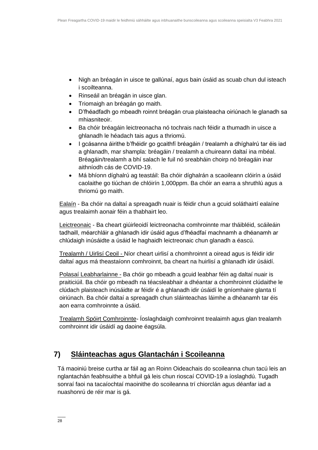- Nigh an bréagán in uisce te gallúnaí, agus bain úsáid as scuab chun dul isteach i scoilteanna.
- Rinseáil an bréagán in uisce glan.
- Triomaigh an bréagán go maith.
- D'fhéadfadh go mbeadh roinnt bréagán crua plaisteacha oiriúnach le glanadh sa mhiasniteoir.
- Ba chóir bréagáin leictreonacha nó tochrais nach féidir a thumadh in uisce a ghlanadh le héadach tais agus a thriomú.
- I gcásanna áirithe b'fhéidir go gcaithfí bréagáin / trealamh a dhíghalrú tar éis iad a ghlanadh, mar shampla: bréagáin / trealamh a chuireann daltaí ina mbéal. Bréagáin/trealamh a bhí salach le fuil nó sreabháin choirp nó bréagáin inar aithníodh cás de COVID-19.
- Má bhíonn díghalrú ag teastáil: Ba chóir díghalrán a scaoileann clóirín a úsáid caolaithe go tiúchan de chlóirín 1,000ppm. Ba chóir an earra a shruthlú agus a thriomú go maith.

Ealaín - Ba chóir na daltaí a spreagadh nuair is féidir chun a gcuid soláthairtí ealaíne agus trealaimh aonair féin a thabhairt leo.

Leictreonaic - Ba cheart giúirleoidí leictreonacha comhroinnte mar tháibléid, scáileáin tadhaill, méarchláir a ghlanadh idir úsáid agus d'fhéadfaí machnamh a dhéanamh ar chlúdaigh inúsáidte a úsáid le haghaidh leictreonaic chun glanadh a éascú.

Trealamh / Uirlisí Ceoil - Níor cheart uirlisí a chomhroinnt a oiread agus is féidir idir daltaí agus má theastaíonn comhroinnt, ba cheart na huirlisí a ghlanadh idir úsáidí.

Polasaí Leabharlainne - Ba chóir go mbeadh a gcuid leabhar féin ag daltaí nuair is praiticiúil. Ba chóir go mbeadh na téacsleabhair a dhéantar a chomhroinnt clúdaithe le clúdach plaisteach inúsáidte ar féidir é a ghlanadh idir úsáidí le gníomhaire glanta tí oiriúnach. Ba chóir daltaí a spreagadh chun sláinteachas láimhe a dhéanamh tar éis aon earra comhroinnte a úsáid.

Trealamh Spóirt Comhroinnte- Íoslaghdaigh comhroinnt trealaimh agus glan trealamh comhroinnt idir úsáidí ag daoine éagsúla.

### **7) Sláinteachas agus Glantachán i Scoileanna**

Tá maoiniú breise curtha ar fáil ag an Roinn Oideachais do scoileanna chun tacú leis an nglantachán feabhsuithe a bhfuil gá leis chun rioscaí COVID-19 a íoslaghdú. Tugadh sonraí faoi na tacaíochtaí maoinithe do scoileanna trí chiorclán agus déanfar iad a nuashonrú de réir mar is gá.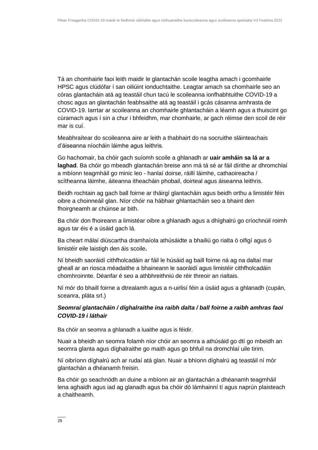Tá an chomhairle faoi leith maidir le glantachán scoile leagtha amach i gcomhairle HPSC agus clúdófar í san oiliúint ionduchtaithe. Leagtar amach sa chomhairle seo an córas glantacháin atá ag teastáil chun tacú le scoileanna ionfhabhtuithe COVID-19 a chosc agus an glantachán feabhsaithe atá ag teastáil i gcás cásanna amhrasta de COVID-19. Iarrtar ar scoileanna an chomhairle ghlantacháin a léamh agus a thuiscint go cúramach agus í sin a chur i bhfeidhm, mar chomhairle, ar gach réimse den scoil de réir mar is cuí.

Meabhraítear do scoileanna aire ar leith a thabhairt do na socruithe sláinteachais d'áiseanna níocháin láimhe agus leithris.

Go hachomair, ba chóir gach suíomh scoile a ghlanadh ar **uair amháin sa lá ar a laghad**. Ba chóir go mbeadh glantachán breise ann má tá sé ar fáil dírithe ar dhromchlaí a mbíonn teagmháil go minic leo - hanlaí doirse, ráillí láimhe, cathaoireacha / scítheanna láimhe, áiteanna itheacháin phobail, doirteal agus áiseanna leithris.

Beidh rochtain ag gach ball foirne ar tháirgí glantacháin agus beidh orthu a limistéir féin oibre a choinneáil glan. Níor chóir na hábhair ghlantacháin seo a bhaint den fhoirgneamh ar chúinse ar bith.

Ba chóir don fhoireann a limistéar oibre a ghlanadh agus a dhíghalrú go críochnúil roimh agus tar éis é a úsáid gach lá.

Ba cheart málaí diúscartha dramhaíola athúsáidte a bhailiú go rialta ó oifigí agus ó limistéir eile laistigh den áis scoile**.** 

Ní bheidh saoráidí cithfholcadáin ar fáil le húsáid ag baill foirne ná ag na daltaí mar gheall ar an riosca méadaithe a bhaineann le saoráidí agus limistéir cithfholcadáin chomhroinnte. Déanfar é seo a athbhreithniú de réir threoir an rialtais.

Ní mór do bhaill foirne a dtrealamh agus a n-uirlisí féin a úsáid agus a ghlanadh (cupán, sceanra, pláta srl.)

### *Seomraí glantacháin / díghalraithe ina raibh dalta / ball foirne a raibh amhras faoi COVID-19 i láthair*

Ba chóir an seomra a ghlanadh a luaithe agus is féidir.

Nuair a bheidh an seomra folamh níor chóir an seomra a athúsáid go dtí go mbeidh an seomra glanta agus díghalraithe go maith agus go bhfuil na dromchlaí uile tirim.

Ní oibríonn díghalrú ach ar rudaí atá glan. Nuair a bhíonn díghalrú ag teastáil ní mór glantachán a dhéanamh freisin.

Ba chóir go seachnódh an duine a mbíonn air an glantachán a dhéanamh teagmháil lena aghaidh agus iad ag glanadh agus ba chóir dó lámhainní tí agus naprún plaisteach a chaitheamh.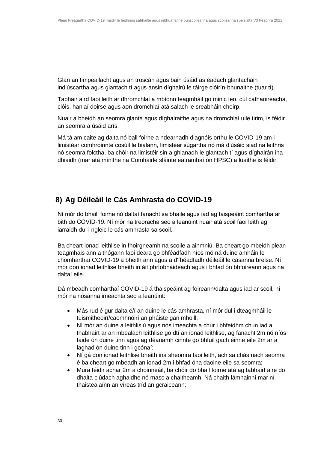Glan an timpeallacht agus an troscán agus bain úsáid as éadach glantacháin indiúscartha agus glantach tí agus ansin díghalrú le táirge clóirín-bhunaithe (tuar tí).

Tabhair aird faoi leith ar dhromchlaí a mbíonn teagmháil go minic leo, cúl cathaoireacha, clóis, hanlaí doirse agus aon dromchlaí atá salach le sreabháin choirp.

Nuair a bheidh an seomra glanta agus díghalraithe agus na dromchlaí uile tirim, is féidir an seomra a úsáid arís.

Má tá am caite ag dalta nó ball foirne a ndearnadh diagnóis orthu le COVID-19 am i limistéar comhroinnte cosúil le bialann, limistéar súgartha nó má d'úsáid siad na leithris nó seomra folctha, ba chóir na limistéir sin a ghlanadh le glantach tí agus díghalrán ina dhiaidh (mar atá mínithe na Comhairle sláinte eatramhaí ón HPSC) a luaithe is féidir.

### **8) Ag Déileáil le Cás Amhrasta do COVID-19**

Ní mór do bhaill foirne nó daltaí fanacht sa bhaile agus iad ag taispeáint comhartha ar bith do COVID-19. Ní mór na treoracha seo a leanúint nuair atá scoil faoi leith ag iarraidh dul i ngleic le cás amhrasta sa scoil.

Ba cheart ionad leithlise in fhoirgneamh na scoile a ainmniú. Ba cheart go mbeidh plean teagmhais ann a thógann faoi deara go bhféadfadh níos mó ná duine amháin le chomharthaí COVID-19 a bheith ann agus a d'fhéadfadh déileáil le cásanna breise. Ní mór don ionad leithlise bheith in áit phríobháideach agus i bhfad ón bhfoireann agus na daltaí eile.

Dá mbeadh comharthaí COVID-19 á thaispeáint ag foireann/dalta agus iad ar scoil, ní mór na nósanna imeachta seo a leanúint:

- Más rud é gur dalta é/í an duine le cás amhrasta, ní mór dul i dteagmháil le tuismitheoirí/caomhnóirí an pháiste gan mhoill;
- Ní mór an duine a leithlisiú agus nós imeachta a chur i bhfeidhm chun iad a thabhairt ar an mbealach leithlise go dtí an ionad leithlise, ag fanacht 2m nó níós faide ón duine tinn agus ag déanamh cinnte go bhfuil gach éinne eile 2m ar a laghad ón duine tinn i gcónaí;
- Ní gá don ionad leithlise bheith ina sheomra faoi leith, ach sa chás nach seomra é ba cheart go mbeadh an ionad 2m i bhfad óna daoine eile sa seomra;
- Mura féidir achar 2m a choinneáil, ba chóir do bhall foirne atá ag tabhairt aire do dhalta clúdach aghaidhe nó masc a chaitheamh. Ná chaith lámhainní mar ní thaistealaínn an víreas tríd an gcraiceann;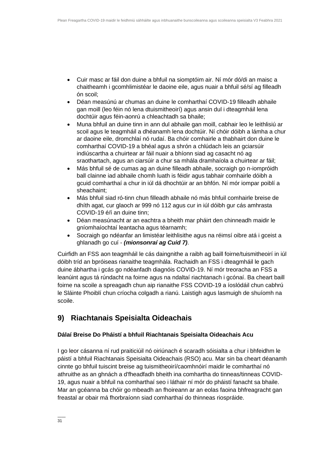- Cuir masc ar fáil don duine a bhfuil na siomptóim air. Ní mór dó/di an maisc a chaitheamh i gcomhlimistéar le daoine eile, agus nuair a bhfuil sé/sí ag filleadh ón scoil;
- Déan measúnú ar chumas an duine le comharthaí COVID-19 filleadh abhaile gan moill (leo féin nó lena dtuismitheoirí) agus ansin dul i dteagmháil lena dochtúir agus féin-aonrú a chleachtadh sa bhaile;
- Muna bhfuil an duine tinn in ann dul abhaile gan moill, cabhair leo le leithlisiú ar scoil agus le teagmháil a dhéanamh lena dochtúir. Ní chóir dóibh a lámha a chur ar daoine eile, dromchlaí nó rudaí. Ba chóir comhairle a thabhairt don duine le comharthaí COVID-19 a bhéal agus a shrón a chlúdach leis an gciarsúir indiúscartha a chuirtear ar fáil nuair a bhíonn siad ag casacht nó ag sraothartach, agus an ciarsúir a chur sa mhála dramhaíola a chuirtear ar fáil;
- Más bhfuil sé de cumas ag an duine filleadh abhaile, socraigh go n-iompróidh ball clainne iad abhaile chomh luath is féidir agus tabhair comhairle dóibh a gcuid comharthaí a chur in iúl dá dhochtúir ar an bhfón. Ní mór iompar poiblí a sheachaint;
- Más bhfuil siad ró-tinn chun filleadh abhaile nó más bhfuil comhairle breise de dhíth agat, cur glaoch ar 999 nó 112 agus cur in iúl dóibh gur cás amhrasta COVID-19 é/í an duine tinn;
- Déan measúnacht ar an eachtra a bheith mar pháirt den chinneadh maidir le gníomhaíochtaí leantacha agus téarnamh;
- Socraigh go ndéanfar an limistéar leithlisithe agus na réimsí oibre atá i gceist a ghlanadh go cuí - *(mionsonraí ag Cuid 7)*.

Cuirfidh an FSS aon teagmháil le cás daingnithe a raibh ag baill foirne/tuismitheoirí in iúl dóibh tríd an bpróiseas rianaithe teagmhála. Rachaidh an FSS i dteagmháil le gach duine ábhartha i gcás go ndéanfadh diagnóis COVID-19. Ní mór treoracha an FSS a leanúint agus tá rúndacht na foirne agus na ndaltaí riachtanach i gcónaí. Ba cheart baill foirne na scoile a spreagadh chun aip rianaithe FSS COVID-19 a íoslódáil chun cabhrú le Sláinte Phoiblí chun críocha colgadh a rianú. Laistigh agus lasmuigh de shuíomh na scoile.

### **9) Riachtanais Speisialta Oideachais**

### **Dálaí Breise Do Pháistí a bhfuil Riachtanais Speisialta Oideachais Acu**

I go leor cásanna ní rud praiticiúil nó oiriúnach é scaradh sóisialta a chur i bhfeidhm le páistí a bhfuil Riachtanais Speisialta Oideachais (RSO) acu. Mar sin ba cheart déanamh cinnte go bhfuil tuiscint breise ag tuismitheoirí/caomhnóirí maidir le comharthaí nó athruithe as an ghnách a d'fheadfadh bheith ina comhartha do tinneas/tinneas COVID-19, agus nuair a bhfuil na comharthaí seo i láthair ní mór do pháistí fanacht sa bhaile. Mar an gcéanna ba chóir go mbeadh an fhoireann ar an eolas faoina bhfreagracht gan freastal ar obair má fhorbraíonn siad comharthaí do thinneas riospráide.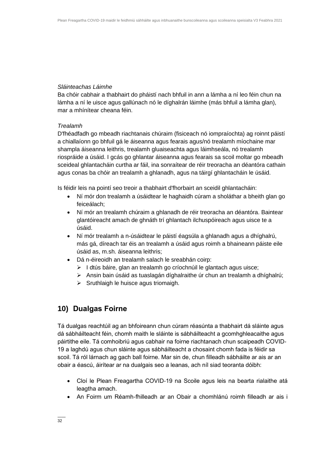### *Sláinteachas Láimhe*

Ba chóir cabhair a thabhairt do pháistí nach bhfuil in ann a lámha a ní leo féin chun na lámha a ní le uisce agus gallúnach nó le díghalrán láimhe (más bhfuil a lámha glan), mar a mhínítear cheana féin.

#### *Trealamh*

D'fhéadfadh go mbeadh riachtanais chúraim (fisiceach nó iompraíochta) ag roinnt páistí a chiallaíonn go bhfuil gá le áiseanna agus fearais agus/nó trealamh míochaine mar shampla áiseanna leithris, trealamh gluaiseachta agus láimhseála, nó trealamh riospráide a úsáid. I gcás go ghlantar áiseanna agus fearais sa scoil moltar go mbeadh sceideal ghlantacháin curtha ar fáil, ina sonraítear de réir treoracha an déantóra cathain agus conas ba chóir an trealamh a ghlanadh, agus na táirgí ghlantacháin le úsáid.

Is féidir leis na pointí seo treoir a thabhairt d'fhorbairt an sceidil ghlantacháin:

- Ní mór don trealamh a úsáidtear le haghaidh cúram a sholáthar a bheith glan go feiceálach;
- Ní mór an trealamh chúraim a ghlanadh de réir treoracha an déantóra. Baintear glantóireacht amach de ghnáth trí ghlantach ilchuspóireach agus uisce te a úsáid.
- Ní mór trealamh a n-úsáidtear le páistí éagsúla a ghlanadh agus a dhíghalrú, más gá, díreach tar éis an trealamh a úsáid agus roimh a bhaineann páiste eile úsáid as, m.sh. áiseanna leithris;
- Dá n-éireoidh an trealamh salach le sreabhán coirp:
	- ➢ I dtús báire, glan an trealamh go críochnúil le glantach agus uisce;
	- ➢ Ansin bain úsáid as tuaslagán díghalraithe úr chun an trealamh a dhíghalrú;
	- $\triangleright$  Sruthlaigh le huisce agus triomaigh.

### **10) Dualgas Foirne**

Tá dualgas reachtúil ag an bhfoireann chun cúram réasúnta a thabhairt dá sláinte agus dá sábháilteacht féin, chomh maith le sláinte is sábháilteacht a gcomhghleacaithe agus páirtithe eile. Tá comhoibriú agus cabhair na foirne riachtanach chun scaipeadh COVID-19 a laghdú agus chun sláinte agus sábháilteacht a chosaint chomh fada is féidir sa scoil. Tá ról lárnach ag gach ball foirne. Mar sin de, chun filleadh sábháilte ar ais ar an obair a éascú, áirítear ar na dualgais seo a leanas, ach níl siad teoranta dóibh:

- Cloí le Plean Freagartha COVID-19 na Scoile agus leis na bearta rialaithe atá leagtha amach.
- An Foirm um Réamh-fhilleadh ar an Obair a chomhlánú roimh filleadh ar ais i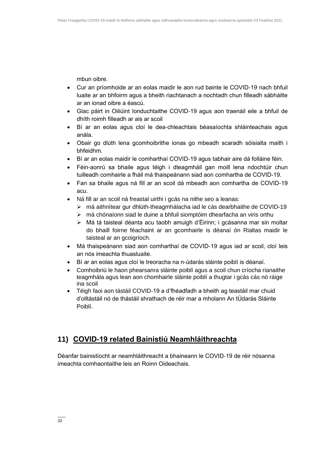mbun oibre.

- Cur an príomhoide ar an eolas maidir le aon rud bainte le COVID-19 nach bhfuil luaite ar an bhfoirm agus a bheith riachtanach a nochtadh chun filleadh sábháilte ar an ionad oibre a éascú.
- Glac páirt in Oiliúint Ionduchtaithe COVID-19 agus aon traenáil eile a bhfuil de dhíth roimh filleadh ar ais ar scoil
- Bí ar an eolas agus cloí le dea-chleachtais béasaíochta shláinteachais agus anála.
- Obair go dlúth lena gcomhoibrithe ionas go mbeadh scaradh sóisialta maith i bhfeidhm.
- Bí ar an eolas maidir le comharthaí COVID-19 agus tabhair aire dá folláine féin.
- Féin-aonrú sa bhaile agus téigh i dteagmháil gan moill lena ndochtúir chun tuilleadh comhairle a fháil má thaispeánann siad aon comhartha de COVID-19.
- Fan sa bhaile agus ná fill ar an scoil dá mbeadh aon comhartha de COVID-19 acu.
- Ná fill ar an scoil ná freastal uirthi i gcás na nithe seo a leanas:
	- ➢ má aithnítear gur dhlúth-theagmhálacha iad le cás dearbhaithe de COVID-19
	- ➢ má chónaíonn siad le duine a bhfuil siomptóim dhearfacha an viris orthu
	- ➢ Má tá taisteal déanta acu taobh amuigh d'Éirinn; i gcásanna mar sin moltar do bhaill foirne féachaint ar an gcomhairle is déanaí ón Rialtas maidir le taisteal ar an gcoigríoch.
- Má thaispeánann siad aon comharthaí de COVID-19 agus iad ar scoil, cloí leis an nós imeachta thuasluaite.
- Bí ar an eolas agus cloí le treoracha na n-údarás sláinte poiblí is déanaí.
- Comhoibriú le haon phearsanra sláinte poiblí agus a scoil chun críocha rianaithe teagmhála agus lean aon chomhairle sláinte poiblí a thugtar i gcás cás nó ráige ina scoil
- Téigh faoi aon tástáil COVID-19 a d'fhéadfadh a bheith ag teastáil mar chuid d'olltástáil nó de thástáil shrathach de réir mar a mholann An tÚdarás Sláinte Poiblí.

### **11) COVID-19 related Bainistiú Neamhláithreachta**

Déanfar bainistíocht ar neamhláithreacht a bhaineann le COVID-19 de réir nósanna imeachta comhaontaithe leis an Roinn Oideachais.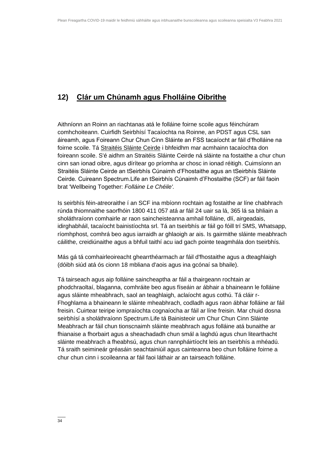### **12) Clár um Chúnamh agus Fholláine Oibrithe**

Aithníonn an Roinn an riachtanas atá le folláine foirne scoile agus féinchúram comhchoiteann. Cuirfidh Seirbhísí Tacaíochta na Roinne, an PDST agus CSL san áireamh, agus Foireann Chur Chun Cinn Sláinte an FSS tacaíocht ar fáil d'fholláine na foirne scoile. Tá [Straitéis Sláinte Ceirde](https://www.education.ie/en/Education-Staff/Information/Occupational-Health-Strategy/) i bhfeidhm mar acmhainn tacaíochta don foireann scoile. S'é aidhm an Straitéis Sláinte Ceirde ná sláinte na fostaithe a chur chun cinn san ionad oibre, agus dírítear go príomha ar chosc in ionad réitigh. Cuimsíonn an Straitéis Sláinte Ceirde an tSeirbhís Cúnaimh d'Fhostaithe agus an tSeirbhís Sláinte Ceirde. Cuireann Spectrum.Life an tSeirbhís Cúnaimh d'Fhostaithe (SCF) ar fáil faoin brat 'Wellbeing Together: *Folláine Le Chéile'.* 

Is seirbhís féin-atreoraithe í an SCF ina mbíonn rochtain ag fostaithe ar líne chabhrach rúnda thiomnaithe saorfhóin 1800 411 057 atá ar fáil 24 uair sa lá, 365 lá sa bhliain a sholáthraíonn comhairle ar raon saincheisteanna amhail folláine, dlí, airgeadais, idirghabháil, tacaíocht bainistíochta srl. Tá an tseirbhís ar fáil go fóill trí SMS, Whatsapp, ríomhphost, comhrá beo agus iarraidh ar ghlaoigh ar ais. Is gairmithe sláinte meabhrach cáilithe, creidiúnaithe agus a bhfuil taithí acu iad gach pointe teagmhála don tseirbhís.

Más gá tá comhairleoireacht ghearrthéarmach ar fáil d'fhostaithe agus a dteaghlaigh (dóibh siúd atá ós cionn 18 mbliana d'aois agus ina gcónaí sa bhaile).

Tá tairseach agus aip folláine saincheaptha ar fáil a thairgeann rochtain ar phodchraoltaí, blaganna, comhráite beo agus físeáin ar ábhair a bhaineann le folláine agus sláinte mheabhrach, saol an teaghlaigh, aclaíocht agus cothú. Tá cláir r-Fhoghlama a bhaineann le sláinte mheabhrach, codladh agus raon ábhar folláine ar fáil freisin. Cuirtear teiripe iompraíochta cognaíocha ar fáil ar líne freisin. Mar chuid dosna seirbhísí a sholáthraíonn Spectrum.Life tá Bainisteoir um Chur Chun Cinn Sláinte Meabhrach ar fáil chun tionscnaimh sláinte meabhrach agus folláine atá bunaithe ar fhianaise a fhorbairt agus a sheachadadh chun smál a laghdú agus chun litearthacht sláinte meabhrach a fheabhsú, agus chun rannpháirtíocht leis an tseirbhís a mhéadú. Tá sraith seimineár gréasáin seachtainiúil agus cainteanna beo chun folláine foirne a chur chun cinn i scoileanna ar fáil faoi láthair ar an tairseach folláine.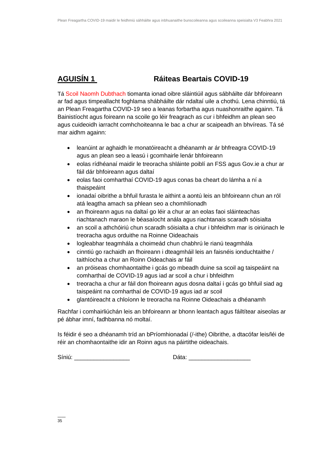### **AGUISÍN 1 Ráiteas Beartais COVID-19**

Tá Scoil Naomh Dubthach tiomanta ionad oibre sláintiúil agus sábháilte dár bhfoireann ar fad agus timpeallacht foghlama shábháilte dár ndaltaí uile a chothú. Lena chinntiú, tá an Plean Freagartha COVID-19 seo a leanas forbartha agus nuashonraithe againn. Tá Bainistíocht agus foireann na scoile go léir freagrach as cur i bhfeidhm an plean seo agus cuideoidh iarracht comhchoiteanna le bac a chur ar scaipeadh an bhvíreas. Tá sé mar aidhm againn:

- leanúint ar aghaidh le monatóireacht a dhéanamh ar ár bhfreagra COVID-19 agus an plean seo a leasú i gcomhairle lenár bhfoireann
- eolas rídhéanaí maidir le treoracha shláinte poiblí an FSS agus Gov.ie a chur ar fáil dár bhfoireann agus daltaí
- eolas faoi comharthaí COVID-19 agus conas ba cheart do lámha a ní a thaispeáint
- ionadaí oibrithe a bhfuil furasta le aithint a aontú leis an bhfoireann chun an ról atá leagtha amach sa phlean seo a chomhlíonadh
- an fhoireann agus na daltaí go léir a chur ar an eolas faoi sláinteachas riachtanach maraon le béasaíocht anála agus riachtanais scaradh sóisialta
- an scoil a athchóiriú chun scaradh sóisialta a chur i bhfeidhm mar is oiriúnach le treoracha agus orduithe na Roinne Oideachais
- logleabhar teagmhála a choimeád chun chabhrú le rianú teagmhála
- cinntiú go rachaidh an fhoireann i dteagmháil leis an faisnéis ionduchtaithe / taithíocha a chur an Roinn Oideachais ar fáil
- an próiseas chomhaontaithe i gcás go mbeadh duine sa scoil ag taispeáint na comharthaí de COVID-19 agus iad ar scoil a chur i bhfeidhm
- treoracha a chur ar fáil don fhoireann agus dosna daltaí i gcás go bhfuil siad ag taispeáint na comharthaí de COVID-19 agus iad ar scoil
- glantóireacht a chloíonn le treoracha na Roinne Oideachais a dhéanamh

Rachfar i comhairliúchán leis an bhfoireann ar bhonn leantach agus fáiltítear aiseolas ar pé ábhar imní, fadhbanna nó moltaí.

Is féidir é seo a dhéanamh tríd an bPríomhionadaí (/-ithe) Oibrithe, a dtacófar leis/léi de réir an chomhaontaithe idir an Roinn agus na páirtithe oideachais.

Síniú: \_\_\_\_\_\_\_\_\_\_\_\_\_\_\_\_\_ Dáta: \_\_\_\_\_\_\_\_\_\_\_\_\_\_\_\_\_\_\_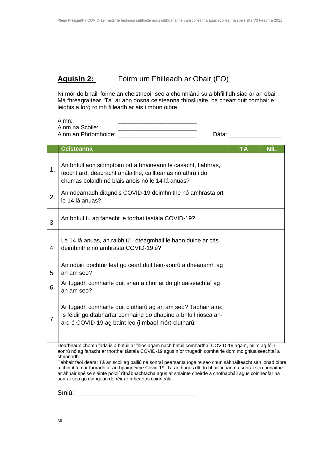### **Aguisín 2:** Foirm um Fhilleadh ar Obair (FO)

Ní mór do bhaill foirne an cheistneoir seo a chomhlánú sula bhfillfidh siad ar an obair. Má fhreagraítear "Tá" ar aon dosna ceisteanna thíosluaite, ba cheart duit comhairle leighis a lorg roimh filleadh ar ais i mbun oibre.

| Aimn:                |       |
|----------------------|-------|
| Ainm na Scoile:      |       |
| Ainm an Phríomhoide: | Dáta: |

|                | Ceisteanna                                                                                                                                                                               | ΤÁ | <b>NÍL</b> |
|----------------|------------------------------------------------------------------------------------------------------------------------------------------------------------------------------------------|----|------------|
| 1.             | An bhfuil aon siomptóim ort a bhaineann le casacht, fiabhras,<br>teocht ard, deacracht análaithe, caillteanas nó athrú i do<br>chumas bolaidh nó blais anois nó le 14 lá anuas?          |    |            |
| 2.             | An ndearnadh diagnóis COVID-19 deimhnithe nó amhrasta ort<br>le 14 lá anuas?                                                                                                             |    |            |
| 3              | An bhfuil tú ag fanacht le torthaí tástála COVID-19?                                                                                                                                     |    |            |
| 4              | Le 14 lá anuas, an raibh tú i dteagmháil le haon duine ar cás<br>deimhnithe nó amhrasta COVID-19 é?                                                                                      |    |            |
| 5              | An ndúirt dochtúir leat go ceart duit féin-aonrú a dhéanamh ag<br>an am seo?                                                                                                             |    |            |
| 6              | Ar tugadh comhairle duit srian a chur ar do ghluaiseachtaí ag<br>an am seo?                                                                                                              |    |            |
| $\overline{7}$ | Ar tugadh comhairle duit clutharú ag an am seo? Tabhair aire:<br>Is féidir go dtabharfar comhairle do dhaoine a bhfuil riosca an-<br>ard ó COVID-19 ag baint leo (i mbaol mór) clutharú: |    |            |
|                | Dearbhaím chomh fada is a bhfuil ar fhios agam nach bhfuil comharthaí COVID-19 agam, nílim ag féin-                                                                                      |    |            |

aonrú nó ag fanacht ar thorthaí tástála COVID-19 agus níor thugadh comhairle dom mo ghluaiseachtaí a shrianadh.

Tabhair faoi deara: Tá an scoil ag bailiú na sonraí pearsanta íogaire seo chun sábháilteacht san ionad oibre a chinntiú mar thoradh ar an bpaindéime Covid-19. Tá an bunús dlí do bhailiúchán na sonraí seo bunaithe ar ábhair spéise sláinte poiblí ríthábhachtacha agus ar shláinte cheirde a chothabháil agus coinneofar na sonraí seo go daingean de réir ár mbeartas coinneála.

Síniú: \_\_\_\_\_\_\_\_\_\_\_\_\_\_\_\_\_\_\_\_\_\_\_\_\_\_\_\_\_\_\_\_\_\_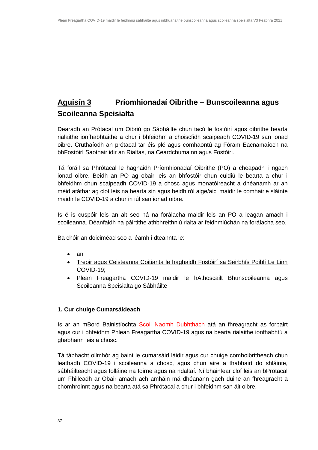### **Aguisín 3 Príomhionadaí Oibrithe – Bunscoileanna agus Scoileanna Speisialta**

Dearadh an Prótacal um Oibriú go Sábháilte chun tacú le fostóirí agus oibrithe bearta rialaithe ionfhabhtaithe a chur i bhfeidhm a choiscfidh scaipeadh COVID-19 san ionad oibre. Cruthaíodh an prótacal tar éis plé agus comhaontú ag Fóram Eacnamaíoch na bhFostóirí Saothair idir an Rialtas, na Ceardchumainn agus Fostóirí.

Tá foráil sa Phrótacal le haghaidh Príomhionadaí Oibrithe (PO) a cheapadh i ngach ionad oibre. Beidh an PO ag obair leis an bhfostóir chun cuidiú le bearta a chur i bhfeidhm chun scaipeadh COVID-19 a chosc agus monatóireacht a dhéanamh ar an méid atáthar ag cloí leis na bearta sin agus beidh ról aige/aici maidir le comhairle sláinte maidir le COVID-19 a chur in iúl san ionad oibre.

Is é is cuspóir leis an alt seo ná na forálacha maidir leis an PO a leagan amach i scoileanna. Déanfaidh na páirtithe athbhreithniú rialta ar feidhmiúchán na forálacha seo.

Ba chóir an doiciméad seo a léamh i dteannta le:

- an
- [Treoir agus Ceisteanna Coitianta le haghaidh Fostóirí sa Seirbhís Poiblí Le Linn](https://www.gov.ie/en/news/092fff-update-on-working-arrangements-and-leave-associated-with-covid-19-fo/)  [COVID-19;](https://www.gov.ie/en/news/092fff-update-on-working-arrangements-and-leave-associated-with-covid-19-fo/)
- Plean Freagartha COVID-19 maidir le hAthoscailt Bhunscoileanna agus Scoileanna Speisialta go Sábháilte

#### **1. Cur chuige Cumarsáideach**

Is ar an mBord Bainistíochta Scoil Naomh Dubhthach atá an fhreagracht as forbairt agus cur i bhfeidhm Phlean Freagartha COVID-19 agus na bearta rialaithe ionfhabhtú a ghabhann leis a chosc.

Tá tábhacht ollmhór ag baint le cumarsáid láidir agus cur chuige comhoibritheach chun leathadh COVID-19 i scoileanna a chosc, agus chun aire a thabhairt do shláinte, sábháilteacht agus folláine na foirne agus na ndaltaí. Ní bhainfear cloí leis an bPrótacal um Fhilleadh ar Obair amach ach amháin má dhéanann gach duine an fhreagracht a chomhroinnt agus na bearta atá sa Phrótacal a chur i bhfeidhm san áit oibre.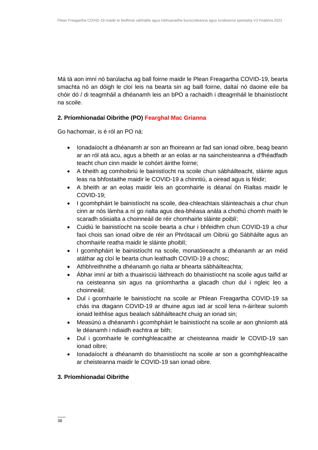Má tá aon imní nó barúlacha ag ball foirne maidir le Plean Freagartha COVID-19, bearta smachta nó an dóigh le cloí leis na bearta sin ag baill foirne, daltaí nó daoine eile ba chóir dó / di teagmháil a dhéanamh leis an bPO a rachaidh i dteagmháil le bhainistíocht na scoile.

### **2. Príomhionadaí Oibrithe (PO) Fearghal Mac Grianna**

Go hachomair, is é ról an PO ná:

- Ionadaíocht a dhéanamh ar son an fhoireann ar fad san ionad oibre, beag beann ar an ról atá acu, agus a bheith ar an eolas ar na saincheisteanna a d'fhéadfadh teacht chun cinn maidir le cohóirt áirithe foirne;
- A bheith ag comhoibriú le bainistíocht na scoile chun sábháilteacht, sláinte agus leas na bhfostaithe maidir le COVID-19 a chinntiú, a oiread agus is féidir;
- A bheith ar an eolas maidir leis an gcomhairle is déanaí ón Rialtas maidir le COVID-19;
- I gcomhpháirt le bainistíocht na scoile, dea-chleachtais sláinteachais a chur chun cinn ar nós lámha a ní go rialta agus dea-bhéasa anála a chothú chomh maith le scaradh sóisialta a choinneáil de réir chomhairle sláinte poiblí;
- Cuidiú le bainistíocht na scoile bearta a chur i bhfeidhm chun COVID-19 a chur faoi chois san ionad oibre de réir an Phrótacail um Oibriú go Sábháilte agus an chomhairle reatha maidir le sláinte phoiblí;
- I gcomhpháirt le bainistíocht na scoile, monatóireacht a dhéanamh ar an méid atáthar ag cloí le bearta chun leathadh COVID-19 a chosc;
- Athbhreithnithe a dhéanamh go rialta ar bhearta sábháilteachta;
- Ábhar imní ar bith a thuairisciú láithreach do bhainistíocht na scoile agus taifid ar na ceisteanna sin agus na gníomhartha a glacadh chun dul i ngleic leo a choinneáil;
- Dul i gcomhairle le bainistíocht na scoile ar Phlean Freagartha COVID-19 sa chás ina dtagann COVID-19 ar dhuine agus iad ar scoil lena n-áirítear suíomh ionaid leithlise agus bealach sábháilteacht chuig an ionad sin;
- Measúnú a dhéanamh i gcomhpháirt le bainistíocht na scoile ar aon ghníomh atá le déanamh i ndiaidh eachtra ar bith;
- Dul i gcomhairle le comhghleacaithe ar cheisteanna maidir le COVID-19 san ionad oibre;
- Ionadaíocht a dhéanamh do bhainistíocht na scoile ar son a gcomhghleacaithe ar cheisteanna maidir le COVID-19 san ionad oibre.

### **3. Príomhionadaí Oibrithe**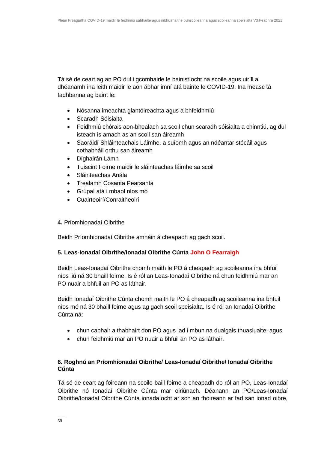Tá sé de ceart ag an PO dul i gcomhairle le bainistíocht na scoile agus uiríll a dhéanamh ina leith maidir le aon ábhar imní atá bainte le COVID-19. Ina measc tá fadhbanna ag baint le:

- Nósanna imeachta glantóireachta agus a bhfeidhmiú
- Scaradh Sóisialta
- Feidhmiú chórais aon-bhealach sa scoil chun scaradh sóisialta a chinntiú, ag dul isteach is amach as an scoil san áireamh
- Saoráidí Shláinteachais Láimhe, a suíomh agus an ndéantar stócáil agus cothabháil orthu san áireamh
- Díghalrán Lámh
- Tuiscint Foirne maidir le sláinteachas láimhe sa scoil
- Sláinteachas Anála
- Trealamh Cosanta Pearsanta
- Grúpaí atá i mbaol níos mó
- Cuairteoirí/Conraitheoirí

#### **4.** Príomhionadaí Oibrithe

Beidh Príomhionadaí Oibrithe amháin á cheapadh ag gach scoil.

#### **5. Leas-Ionadaí Oibrithe/Ionadaí Oibrithe Cúnta John O Fearraigh**

Beidh Leas-Ionadaí Oibrithe chomh maith le PO á cheapadh ag scoileanna ina bhfuil níos liú ná 30 bhaill foirne. Is é ról an Leas-Ionadaí Oibrithe ná chun feidhmiú mar an PO nuair a bhfuil an PO as láthair.

Beidh Ionadaí Oibrithe Cúnta chomh maith le PO á cheapadh ag scoileanna ina bhfuil níos mó ná 30 bhaill foirne agus ag gach scoil speisialta. Is é ról an Ionadaí Oibrithe Cúnta ná:

- chun cabhair a thabhairt don PO agus iad i mbun na dualgais thuasluaite; agus
- chun feidhmiú mar an PO nuair a bhfuil an PO as láthair.

#### **6. Roghnú an Príomhionadaí Oibrithe/ Leas-Ionadaí Oibrithe/ Ionadaí Oibrithe Cúnta**

Tá sé de ceart ag foireann na scoile baill foirne a cheapadh do ról an PO, Leas-Ionadaí Oibrithe nó Ionadaí Oibrithe Cúnta mar oiriúnach. Déanann an PO/Leas-Ionadaí Oibrithe/Ionadaí Oibrithe Cúnta ionadaíocht ar son an fhoireann ar fad san ionad oibre,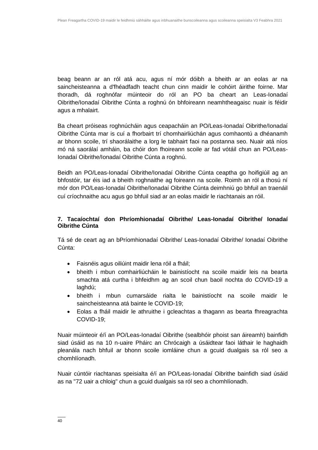beag beann ar an ról atá acu, agus ní mór dóibh a bheith ar an eolas ar na saincheisteanna a d'fhéadfadh teacht chun cinn maidir le cohóirt áirithe foirne. Mar thoradh, dá roghnófar múinteoir do ról an PO ba cheart an Leas-Ionadaí Oibrithe/Ionadaí Oibrithe Cúnta a roghnú ón bhfoireann neamhtheagaisc nuair is féidir agus a mhalairt.

Ba cheart próiseas roghnúcháin agus ceapacháin an PO/Leas-Ionadaí Oibrithe/Ionadaí Oibrithe Cúnta mar is cuí a fhorbairt trí chomhairliúchán agus comhaontú a dhéanamh ar bhonn scoile, trí shaorálaithe a lorg le tabhairt faoi na postanna seo. Nuair atá níos mó ná saorálaí amháin, ba chóir don fhoireann scoile ar fad vótáil chun an PO/Leas-Ionadaí Oibrithe/Ionadaí Oibrithe Cúnta a roghnú.

Beidh an PO/Leas-Ionadaí Oibrithe/Ionadaí Oibrithe Cúnta ceaptha go hoifigiúil ag an bhfostóir, tar éis iad a bheith roghnaithe ag foireann na scoile. Roimh an ról a thosú ní mór don PO/Leas-Ionadaí Oibrithe/Ionadaí Oibrithe Cúnta deimhniú go bhfuil an traenáil cuí críochnaithe acu agus go bhfuil siad ar an eolas maidir le riachtanais an róil.

#### **7. Tacaíochtaí don Phríomhionadaí Oibrithe/ Leas-Ionadaí Oibrithe/ Ionadaí Oibrithe Cúnta**

Tá sé de ceart ag an bPríomhionadaí Oibrithe/ Leas-Ionadaí Oibrithe/ Ionadaí Oibrithe Cúnta:

- Faisnéis agus oiliúint maidir lena róil a fháil;
- bheith i mbun comhairliúcháin le bainistíocht na scoile maidir leis na bearta smachta atá curtha i bhfeidhm ag an scoil chun baoil nochta do COVID-19 a laghdú;
- bheith i mbun cumarsáide rialta le bainistíocht na scoile maidir le saincheisteanna atá bainte le COVID-19;
- Eolas a fháil maidir le athruithe i gcleachtas a thagann as bearta fhreagrachta COVID-19;

Nuair múinteoir é/í an PO/Leas-Ionadaí Oibrithe (sealbhóir phoist san áireamh) bainfidh siad úsáid as na 10 n-uaire Pháirc an Chrócaigh a úsáidtear faoi láthair le haghaidh pleanála nach bhfuil ar bhonn scoile iomláine chun a gcuid dualgais sa ról seo a chomhlíonadh.

Nuair cúntóir riachtanas speisialta é/í an PO/Leas-Ionadaí Oibrithe bainfidh siad úsáid as na "72 uair a chloig" chun a gcuid dualgais sa ról seo a chomhlíonadh.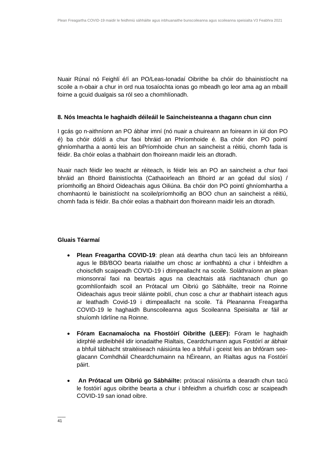Nuair Rúnaí nó Feighlí é/í an PO/Leas-Ionadaí Oibrithe ba chóir do bhainistíocht na scoile a n-obair a chur in ord nua tosaíochta ionas go mbeadh go leor ama ag an mbaill foirne a gcuid dualgais sa ról seo a chomhlíonadh.

#### **8. Nós Imeachta le haghaidh déileáil le Saincheisteanna a thagann chun cinn**

I gcás go n-aithníonn an PO ábhar imní (nó nuair a chuireann an foireann in iúl don PO é) ba chóir dó/di a chur faoi bhráid an Phríomhoide é. Ba chóir don PO pointí ghníomhartha a aontú leis an bPríomhoide chun an saincheist a réitiú, chomh fada is féidir. Ba chóir eolas a thabhairt don fhoireann maidir leis an dtoradh.

Nuair nach féidir leo teacht ar réiteach, is féidir leis an PO an saincheist a chur faoi bhráid an Bhoird Bainistíochta (Cathaoirleach an Bhoird ar an gcéad dul síos) / príomhoifig an Bhoird Oideachais agus Oiliúna. Ba chóir don PO pointí ghníomhartha a chomhaontú le bainistíocht na scoile/príomhoifig an BOO chun an saincheist a réitiú, chomh fada is féidir. Ba chóir eolas a thabhairt don fhoireann maidir leis an dtoradh.

#### **Gluais Téarmaí**

- **Plean Freagartha COVID-19**: plean atá deartha chun tacú leis an bhfoireann agus le BB/BOO bearta rialaithe um chosc ar ionfhabhtú a chur i bhfeidhm a choiscfidh scaipeadh COVID-19 i dtimpeallacht na scoile. Soláthraíonn an plean mionsonraí faoi na beartais agus na cleachtais atá riachtanach chun go gcomhlíonfaidh scoil an Prótacal um Oibriú go Sábháilte, treoir na Roinne Oideachais agus treoir sláinte poiblí, chun cosc a chur ar thabhairt isteach agus ar leathadh Covid-19 i dtimpeallacht na scoile. Tá Pleananna Freagartha COVID-19 le haghaidh Bunscoileanna agus Scoileanna Speisialta ar fáil ar shuíomh Idirlíne na Roinne.
- **Fóram Eacnamaíocha na Fhostóirí Oibrithe (LEEF):** Fóram le haghaidh idirphlé ardleibhéil idir ionadaithe Rialtais, Ceardchumann agus Fostóirí ar ábhair a bhfuil tábhacht straitéiseach náisiúnta leo a bhfuil i gceist leis an bhfóram seoglacann Comhdháil Cheardchumainn na hÉireann, an Rialtas agus na Fostóirí páirt.
- **An Prótacal um Oibriú go Sábháilte:** prótacal náisiúnta a dearadh chun tacú le fostóirí agus oibrithe bearta a chur i bhfeidhm a chuirfidh cosc ar scaipeadh COVID-19 san ionad oibre.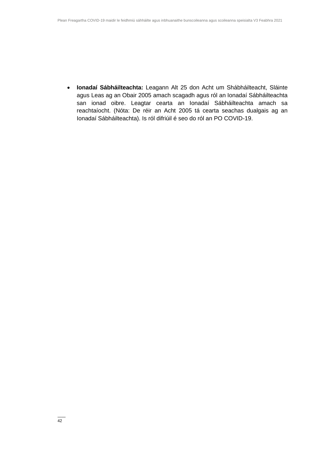• **Ionadaí Sábháilteachta:** Leagann Alt 25 don Acht um Shábháilteacht, Sláinte agus Leas ag an Obair 2005 amach scagadh agus ról an Ionadaí Sábháilteachta san ionad oibre. Leagtar cearta an Ionadaí Sábháilteachta amach sa reachtaíocht. (Nóta: De réir an Acht 2005 tá cearta seachas dualgais ag an Ionadaí Sábháilteachta). Is ról difriúil é seo do ról an PO COVID-19.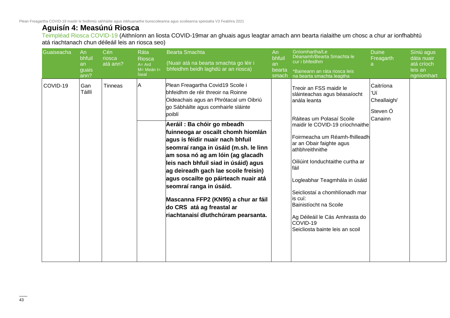Plean Freagartha COVID-19 maidir le feidhmiú sáhháilte agus inbhuanaithe bunscoileanna agus scoileanna speisialta V3 Feabhra 2021

### **Aguisín 4: Measúnú Riosca**

Teimpléad Riosca COVID-19 (Aithníonn an liosta COVID-19mar an ghuais agus leagtar amach ann bearta rialaithe um chosc a chur ar ionfhabhtú atá riachtanach chun déileáil leis an riosca seo)

| Guaiseacha | An<br>bhfuil<br>an<br>guais<br>ann? | Cén<br>riosca<br>atá ann? | Ráta<br><b>Riosca</b><br>$A = Ard$<br>$M = Meán =$<br><b>Íseal</b> | <b>Bearta Smachta</b><br>(Nuair atá na bearta smachta go léir i<br>bhfeidhm beidh laghdú ar an riosca)                                                                                                                                                                                                                                                                                                                                                                                                                                                                                                                  | An<br>bhfuil<br>an<br>bearta<br>smach | Gníomhartha/Le<br>Déanamh/Bearta Smachta le<br>cur i bhfeidhm<br>*Baineann an ráta riosca leis<br>na bearta smachta leagtha                                                                                                                                                                                                                                                                                                                                  | <b>Duine</b><br>Freagarth<br>а                         | Síniú agus<br>dáta nuair<br>atá críoch<br>leis an<br>ngníomhart |
|------------|-------------------------------------|---------------------------|--------------------------------------------------------------------|-------------------------------------------------------------------------------------------------------------------------------------------------------------------------------------------------------------------------------------------------------------------------------------------------------------------------------------------------------------------------------------------------------------------------------------------------------------------------------------------------------------------------------------------------------------------------------------------------------------------------|---------------------------------------|--------------------------------------------------------------------------------------------------------------------------------------------------------------------------------------------------------------------------------------------------------------------------------------------------------------------------------------------------------------------------------------------------------------------------------------------------------------|--------------------------------------------------------|-----------------------------------------------------------------|
| COVID-19   | Gan<br>Táillí                       | <b>Tinneas</b>            | Α                                                                  | Plean Freagartha Covid19 Scoile i<br>bhfeidhm de réir threoir na Roinne<br>Oideachais agus an Phrótacal um Oibriú<br>go Sábháilte agus comhairle sláinte<br>poiblí<br>Aeráil : Ba chóir go mbeadh<br>fuinneoga ar oscailt chomh hiomlán<br>agus is féidir nuair nach bhfuil<br>seomraí ranga in úsáid (m.sh. le linn<br>am sosa nó ag am lóin (ag glacadh<br>leis nach bhfuil siad in úsáid) agus<br>ag deireadh gach lae scoile freisin)<br>agus oscailte go páirteach nuair atá<br>seomraí ranga in úsáid.<br>Mascanna FFP2 (KN95) a chur ar fáil<br>do CRS atá ag freastal ar<br>riachtanaisí dluthchúram pearsanta. |                                       | Treoir an FSS maidir le<br>sláinteachas agus béasaíocht<br>anála leanta<br>Ráiteas um Polasaí Scoile<br>maidir le COVID-19 críochnaithe<br>Foirmeacha um Réamh-fhilleadh<br>ar an Obair faighte agus<br>athbhreithnithe<br>Oiliúint Ionduchtaithe curtha ar<br>fáil<br>Logleabhar Teagmhála in úsáid<br>Seicliostaí a chomhlíonadh mar<br>is cuí:<br>Bainistíocht na Scoile<br>Ag Déileáil le Cás Amhrasta do<br>COVID-19<br>Seicliosta bainte leis an scoil | Caitríona<br>ʻUí<br>Cheallaigh/<br>Steven Ó<br>Canainn |                                                                 |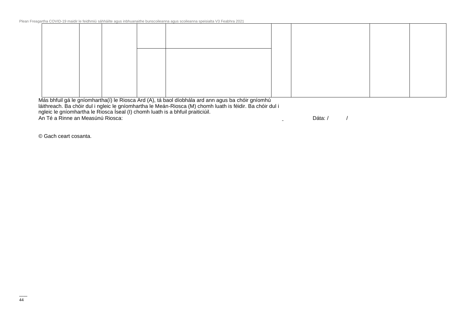Más bhfuil gá le gníomhartha(í) le Riosca Ard (A), tá baol díobhála ard ann agus ba chóir gníomhú láithreach. Ba chóir dul i ngleic le gníomhartha le Meán-Riosca (M) chomh luath is féidir. Ba chóir dul i ngleic le gníomhartha le Riosca Íseal (I) chomh luath is a bhfuil praiticiúil.

An Té a Rinne an Measúnú Riosca: Dáta: / /

© Gach ceart cosanta.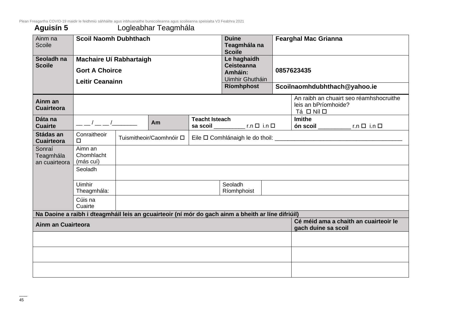Plean Freagartha COVID-19 maidir le feidhmiú sáhháilte agus inbhuanaithe bunscoileanna agus scoileanna speisialta V3 Feabhra 2021

### **Aguisín 5** Logleabhar Teagmhála

| Ainm na<br><b>Scoile</b>                                                                  | <b>Scoil Naomh Dubhthach</b>                                                                       |  |                          |                       | <b>Duine</b><br>Teagmhála na                                                    |  | <b>Fearghal Mac Grianna</b>        |                                         |  |
|-------------------------------------------------------------------------------------------|----------------------------------------------------------------------------------------------------|--|--------------------------|-----------------------|---------------------------------------------------------------------------------|--|------------------------------------|-----------------------------------------|--|
| Seoladh na<br><b>Scoile</b>                                                               | Machaire Uí Rabhartaigh<br><b>Gort A Choirce</b><br><b>Leitir Ceanainn</b>                         |  |                          |                       | <b>Scoile</b><br>Le haghaidh<br><b>Ceisteanna</b><br>Amháin:<br>Uimhir Ghutháin |  | 0857623435                         |                                         |  |
|                                                                                           |                                                                                                    |  |                          |                       | Ríomhphost                                                                      |  | Scoilnaomhdubhthach@yahoo.ie       |                                         |  |
| Ainm an<br><b>Cuairteora</b>                                                              |                                                                                                    |  |                          |                       |                                                                                 |  | leis an bPríomhoide?<br>Tá □ Níl □ | An raibh an chuairt seo réamhshocruithe |  |
| Dáta na<br><b>Cuairte</b>                                                                 | $\frac{1}{2}$ $\frac{1}{2}$                                                                        |  | Am                       | <b>Teacht Isteach</b> | sa scoil ____________________ r.n □ i.n □                                       |  | Imithe<br>ón scoil __________      | $r.n \Box$ i.n $\Box$                   |  |
| Stádas an<br><b>Cuairteora</b>                                                            | Conraitheoir<br>$\Box$                                                                             |  | Tuismitheoir/Caomhnóir □ |                       |                                                                                 |  |                                    |                                         |  |
| Sonraí<br>Teagmhála<br>an cuairteora                                                      | Aimn an<br>Chomhlacht<br>(más cuí)                                                                 |  |                          |                       |                                                                                 |  |                                    |                                         |  |
|                                                                                           | Seoladh                                                                                            |  |                          |                       |                                                                                 |  |                                    |                                         |  |
|                                                                                           | Uimhir<br>Theagmhála:                                                                              |  |                          |                       | Seoladh<br>Ríomhphoist                                                          |  |                                    |                                         |  |
|                                                                                           | Cúis na<br>Cuairte                                                                                 |  |                          |                       |                                                                                 |  |                                    |                                         |  |
|                                                                                           | Na Daoine a raibh i dteagmháil leis an gcuairteoir (ní mór do gach ainm a bheith ar líne difriúil) |  |                          |                       |                                                                                 |  |                                    |                                         |  |
| Cé méid ama a chaith an cuairteoir le<br><b>Ainm an Cuairteora</b><br>gach duine sa scoil |                                                                                                    |  |                          |                       |                                                                                 |  |                                    |                                         |  |
|                                                                                           |                                                                                                    |  |                          |                       |                                                                                 |  |                                    |                                         |  |
|                                                                                           |                                                                                                    |  |                          |                       |                                                                                 |  |                                    |                                         |  |
|                                                                                           |                                                                                                    |  |                          |                       |                                                                                 |  |                                    |                                         |  |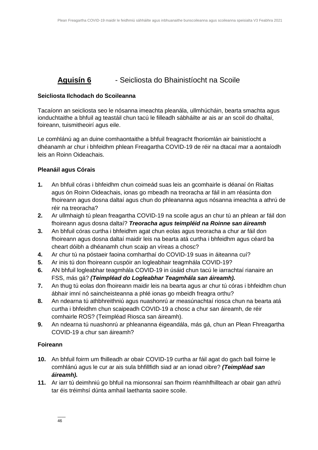### **Aguisín 6** - Seicliosta do Bhainistíocht na Scoile

#### **Seicliosta Ilchodach do Scoileanna**

Tacaíonn an seicliosta seo le nósanna imeachta pleanála, ullmhúcháin, bearta smachta agus ionduchtaithe a bhfuil ag teastáil chun tacú le filleadh sábháilte ar ais ar an scoil do dhaltaí, foireann, tuismitheoirí agus eile.

Le comhlánú ag an duine comhaontaithe a bhfuil freagracht fhoriomlán air bainistíocht a dhéanamh ar chur i bhfeidhm phlean Freagartha COVID-19 de réir na dtacaí mar a aontaíodh leis an Roinn Oideachais.

### **Pleanáil agus Córais**

- **1.** An bhfuil córas i bhfeidhm chun coimeád suas leis an gcomhairle is déanaí ón Rialtas agus ón Roinn Oideachais, ionas go mbeadh na treoracha ar fáil in am réasúnta don fhoireann agus dosna daltaí agus chun do phleananna agus nósanna imeachta a athrú de réir na treoracha?
- **2.** Ar ullmhaigh tú plean freagartha COVID-19 na scoile agus an chur tú an phlean ar fáil don fhoireann agus dosna daltaí? *Treoracha agus teimpléid na Roinne san áireamh*
- **3.** An bhfuil córas curtha i bhfeidhm agat chun eolas agus treoracha a chur ar fáil don fhoireann agus dosna daltaí maidir leis na bearta atá curtha i bhfeidhm agus céard ba cheart dóibh a dhéanamh chun scaip an víreas a chosc?
- **4.** Ar chur tú na póstaeir faoina comharthaí do COVID-19 suas in áiteanna cuí?
- **5.** Ar inis tú don fhoireann cuspóir an logleabhair teagmhála COVID-19?
- **6.** AN bhfuil logleabhar teagmhála COVID-19 in úsáid chun tacú le iarrachtaí rianaire an FSS, más gá? *(Teimpléad do Logleabhar Teagmhála san áireamh).*
- **7.** An thug tú eolas don fhoireann maidir leis na bearta agus ar chur tú córas i bhfeidhm chun ábhair imní nó saincheisteanna a phlé ionas go mbeidh freagra orthu?
- **8.** An ndearna tú athbhreithniú agus nuashonrú ar measúnachtaí riosca chun na bearta atá curtha i bhfeidhm chun scaipeadh COVID-19 a chosc a chur san áireamh, de réir comhairle ROS? (Teimpléad Riosca san áireamh).
- **9.** An ndearna tú nuashonrú ar phleananna éigeandála, más gá, chun an Plean Fhreagartha COVID-19 a chur san áireamh?

### **Foireann**

- **10.** An bhfuil foirm um fhilleadh ar obair COVID-19 curtha ar fáil agat do gach ball foirne le comhlánú agus le cur ar ais sula bhfillfidh siad ar an ionad oibre? *(Teimpléad san áireamh).*
- **11.** Ar iarr tú deimhniú go bhfuil na mionsonraí san fhoirm réamhfhillteach ar obair gan athrú tar éis tréimhsí dúnta amhail laethanta saoire scoile.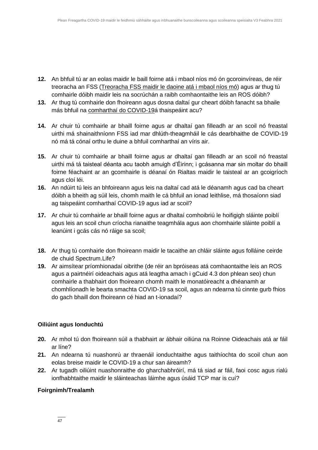- **12.** An bhfuil tú ar an eolas maidir le baill foirne atá i mbaol níos mó ón gcoroinvíreas, de réir treoracha an FSS [\(Treoracha FSS maidir le daoine atá i mbaol níos mó\)](https://www2.hse.ie/gaeilge/coroinvireas/daoine-ata-i-mbaol-nios-mo-on-gcoroinvireas.html) agus ar thug tú comhairle dóibh maidir leis na socrúchán a raibh comhaontaithe leis an ROS dóibh?
- **13.** Ar thug tú comhairle don fhoireann agus dosna daltaí gur cheart dóibh fanacht sa bhaile más bhfuil na [comharthaí do COVID-19á](https://www2.hse.ie/gaeilge/coroinvireas/comharthai-an-choroinviris.html) thaispeáint acu?
- **14.** Ar chuir tú comhairle ar bhaill foirne agus ar dhaltaí gan filleadh ar an scoil nó freastal uirthi má shainaithníonn FSS iad mar dhlúth-theagmháil le cás dearbhaithe de COVID-19 nó má tá cónaí orthu le duine a bhfuil comharthaí an víris air.
- **15.** Ar chuir tú comhairle ar bhaill foirne agus ar dhaltaí gan filleadh ar an scoil nó freastal uirthi má tá taisteal déanta acu taobh amuigh d'Éirinn; i gcásanna mar sin moltar do bhaill foirne féachaint ar an gcomhairle is déanaí ón Rialtas maidir le taisteal ar an gcoigríoch agus cloí léi.
- **16.** An ndúirt tú leis an bhfoireann agus leis na daltaí cad atá le déanamh agus cad ba cheart dóibh a bheith ag súil leis, chomh maith le cá bhfuil an ionad leithlise, má thosaíonn siad ag taispeáint comharthaí COVID-19 agus iad ar scoil?
- **17.** Ar chuir tú comhairle ar bhaill foirne agus ar dhaltaí comhoibriú le hoifigigh sláinte poiblí agus leis an scoil chun críocha rianaithe teagmhála agus aon chomhairle sláinte poiblí a leanúint i gcás cás nó ráige sa scoil;
- **18.** Ar thug tú comhairle don fhoireann maidir le tacaithe an chláir sláinte agus folláine ceirde de chuid Spectrum.Life?
- **19.** Ar aimsítear príomhionadaí oibrithe (de réir an bpróiseas atá comhaontaithe leis an ROS agus a pairtnéirí oideachais agus atá leagtha amach i gCuid 4.3 don phlean seo) chun comhairle a thabhairt don fhoireann chomh maith le monatóireacht a dhéanamh ar chomhlíonadh le bearta smachta COVID-19 sa scoil, agus an ndearna tú cinnte gurb fhios do gach bhaill don fhoireann cé hiad an t-ionadaí?

### **Oiliúint agus Ionduchtú**

- **20.** Ar mhol tú don fhoireann súil a thabhairt ar ábhair oiliúna na Roinne Oideachais atá ar fáil ar líne?
- **21.** An ndearna tú nuashonrú ar thraenáil ionduchtaithe agus taithíochta do scoil chun aon eolas breise maidir le COVID-19 a chur san áireamh?
- **22.** Ar tugadh oiliúint nuashonraithe do gharchabhróirí, má tá siad ar fáil, faoi cosc agus rialú ionfhabhtaithe maidir le sláinteachas láimhe agus úsáid TCP mar is cuí?

### **Foirgnimh/Trealamh**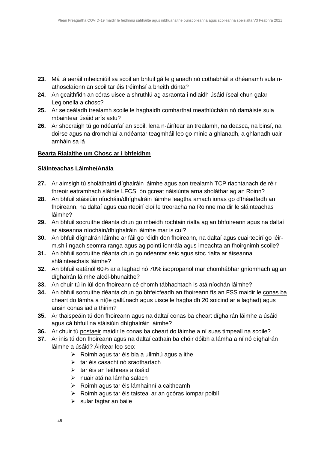- **23.** Má tá aeráil mheicniúil sa scoil an bhfuil gá le glanadh nó cothabháil a dhéanamh sula nathosclaíonn an scoil tar éis tréimhsí a bheith dúnta?
- **24.** An gcaithfidh an córas uisce a shruthlú ag asraonta i ndiaidh úsáid íseal chun galar Legionella a chosc?
- **25.** Ar seiceáladh trealamh scoile le haghaidh comharthaí meathlúcháin nó damáiste sula mbaintear úsáid arís astu?
- **26.** Ar shocraigh tú go ndéanfaí an scoil, lena n-áirítear an trealamh, na deasca, na binsí, na doirse agus na dromchlaí a ndéantar teagmháil leo go minic a ghlanadh, a ghlanadh uair amháin sa lá

### **Bearta Rialaithe um Chosc ar i bhfeidhm**

### **Sláinteachas Láimhe/Anála**

- **27.** Ar aimsigh tú sholáthairtí díghalráin láimhe agus aon trealamh TCP riachtanach de réir threoir eatramhach sláinte LFCS, ón gcreat náisiúnta arna sholáthar ag an Roinn?
- **28.** An bhfuil stáisiúin níocháin/dhíghalráin láimhe leagtha amach ionas go d'fhéadfadh an fhoireann, na daltaí agus cuairteoirí cloí le treoracha na Roinne maidir le sláinteachas láimhe?
- **29.** An bhfuil socruithe déanta chun go mbeidh rochtain rialta ag an bhfoireann agus na daltaí ar áiseanna níocháin/dhíghalráin láimhe mar is cuí?
- **30.** An bhfuil díghalrán láimhe ar fáil go réidh don fhoireann, na daltaí agus cuairteoirí go léirm.sh i ngach seomra ranga agus ag pointí iontrála agus imeachta an fhoirgnimh scoile?
- **31.** An bhfuil socruithe déanta chun go ndéantar seic agus stoc rialta ar áiseanna shláinteachais láimhe?
- **32.** An bhfuil eatánól 60% ar a laghad nó 70% isopropanol mar chomhábhar gníomhach ag an díghalrán láimhe alcól-bhunaithe?
- **33.** An chuir tú in iúl don fhoireann cé chomh tábhachtach is atá níochán láimhe?
- **34.** An bhfuil socruithe déanta chun go bhfeicfeadh an fhoireann fís an FSS maidir le [conas ba](https://www2.hse.ie/wellbeing/how-to-wash-your-hands.html)  [cheart do lámha a ní\(](https://www2.hse.ie/wellbeing/how-to-wash-your-hands.html)le gallúnach agus uisce le haghaidh 20 soicind ar a laghad) agus ansin conas iad a thirim?
- **35.** Ar thaispeáin tú don fhoireann agus na daltaí conas ba cheart díghalrán láimhe a úsáid agus cá bhfuil na stáisiúin dhíghalráin láimhe?
- **36.** Ar chuir tú [postaeir](https://www.gov.ie/en/collection/ee0781-covid-19-posters-for-public-use/) maidir le conas ba cheart do láimhe a ní suas timpeall na scoile?
- **37.** Ar inis tú don fhoireann agus na daltaí cathain ba chóir dóibh a lámha a ní nó díghalrán láimhe a úsáid? Áirítear leo seo:
	- $\triangleright$  Roimh agus tar éis bia a ullmhú agus a ithe
	- ➢ tar éis casacht nó sraothartach
	- ➢ tar éis an leithreas a úsáid
	- ➢ nuair atá na lámha salach
	- ➢ Roimh agus tar éis lámhainní a caitheamh
	- ➢ Roimh agus tar éis taisteal ar an gcóras iompar poiblí
	- ➢ sular fágtar an baile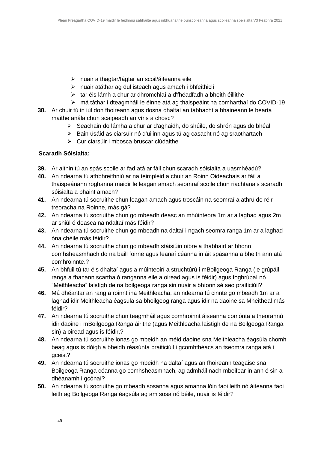- ➢ nuair a thagtar/fágtar an scoil/áiteanna eile
- ➢ nuair atáthar ag dul isteach agus amach i bhfeithiclí
- ➢ tar éis lámh a chur ar dhromchlaí a d'fhéadfadh a bheith éillithe
- ➢ má táthar i dteagmháil le éinne atá ag thaispeáint na comharthaí do COVID-19
- **38.** Ar chuir tú in iúl don fhoireann agus dosna dhaltaí an tábhacht a bhaineann le bearta maithe anála chun scaipeadh an víris a chosc?
	- ➢ Seachain do lámha a chur ar d'aghaidh, do shúile, do shrón agus do bhéal
	- ➢ Bain úsáid as ciarsúir nó d'uilinn agus tú ag casacht nó ag sraothartach
	- ➢ Cur ciarsúir i mbosca bruscar clúdaithe

### **Scaradh Sóisialta:**

- **39.** Ar aithin tú an spás scoile ar fad atá ar fáil chun scaradh sóisialta a uasmhéadú?
- **40.** An ndearna tú athbhreithniú ar na teimpléid a chuir an Roinn Oideachais ar fáil a thaispeánann roghanna maidir le leagan amach seomraí scoile chun riachtanais scaradh sóisialta a bhaint amach?
- **41.** An ndearna tú socruithe chun leagan amach agus troscáin na seomraí a athrú de réir treoracha na Roinne, más gá?
- **42.** An ndearna tú socruithe chun go mbeadh deasc an mhúinteora 1m ar a laghad agus 2m ar shiúl ó deasca na ndaltaí más féidir?
- **43.** An ndearna tú socruithe chun go mbeadh na daltaí i ngach seomra ranga 1m ar a laghad óna chéile más féidir?
- **44.** An ndearna tú socruithe chun go mbeadh stáisiúin oibre a thabhairt ar bhonn comhsheasmhach do na baill foirne agus leanaí céanna in áit spásanna a bheith ann atá comhroinnte.?
- **45.** An bhfuil tú tar éis dhaltaí agus a múinteoirí a struchtúrú i mBoilgeoga Ranga (ie grúpáil ranga a fhanann scartha ó ranganna eile a oiread agus is féidir) agus foghrúpaí nó "Meithleacha" laistigh de na boilgeoga ranga sin nuair a bhíonn sé seo praiticiúil?
- **46.** Má dhéantar an rang a roinnt ina Meithleacha, an ndearna tú cinnte go mbeadh 1m ar a laghad idir Meithleacha éagsula sa bhoilgeog ranga agus idir na daoine sa Mheitheal más féidir?
- **47.** An ndearna tú socruithe chun teagmháil agus comhroinnt áiseanna comónta a theorannú idir daoine i mBoilgeoga Ranga áirithe (agus Meithleacha laistigh de na Boilgeoga Ranga sin) a oiread agus is féidir,?
- **48.** An ndearna tú socruithe ionas go mbeidh an méid daoine sna Meithleacha éagsúla chomh beag agus is dóigh a bheidh réasúnta praiticiúil i gcomhthéacs an tseomra ranga atá i gceist?
- **49.** An ndearna tú socruithe ionas go mbeidh na daltaí agus an fhoireann teagaisc sna Boilgeoga Ranga céanna go comhsheasmhach, ag admháil nach mbeifear in ann é sin a dhéanamh i gcónaí?
- **50.** An ndearna tú socruithe go mbeadh sosanna agus amanna lóin faoi leith nó áiteanna faoi leith ag Boilgeoga Ranga éagsúla ag am sosa nó béile, nuair is féidir?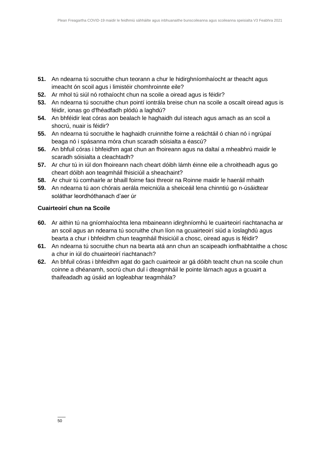- **51.** An ndearna tú socruithe chun teorann a chur le hidirghníomhaíocht ar theacht agus imeacht ón scoil agus i limistéir chomhroinnte eile?
- **52.** Ar mhol tú siúl nó rothaíocht chun na scoile a oiread agus is féidir?
- **53.** An ndearna tú socruithe chun pointí iontrála breise chun na scoile a oscailt oiread agus is féidir, ionas go d'fhéadfadh plódú a laghdú?
- **54.** An bhféidir leat córas aon bealach le haghaidh dul isteach agus amach as an scoil a shocrú, nuair is féidir?
- **55.** An ndearna tú socruithe le haghaidh cruinnithe foirne a reáchtáil ó chian nó i ngrúpaí beaga nó i spásanna móra chun scaradh sóisialta a éascú?
- **56.** An bhfuil córas i bhfeidhm agat chun an fhoireann agus na daltaí a mheabhrú maidir le scaradh sóisialta a cleachtadh?
- **57.** Ar chur tú in iúl don fhoireann nach cheart dóibh lámh éinne eile a chroitheadh agus go cheart dóibh aon teagmháil fhisiciúil a sheachaint?
- **58.** Ar chuir tú comhairle ar bhaill foirne faoi threoir na Roinne maidir le haeráil mhaith
- **59.** An ndearna tú aon chórais aerála meicniúla a sheiceáil lena chinntiú go n-úsáidtear soláthar leordhóthanach d'aer úr

### **Cuairteoirí chun na Scoile**

- **60.** Ar aithin tú na gníomhaíochta lena mbaineann idirghníomhú le cuairteoirí riachtanacha ar an scoil agus an ndearna tú socruithe chun líon na gcuairteoirí siúd a íoslaghdú agus bearta a chur i bhfeidhm chun teagmháil fhisiciúil a chosc, oiread agus is féidir?
- **61.** An ndearna tú socruithe chun na bearta atá ann chun an scaipeadh ionfhabhtaithe a chosc a chur in iúl do chuairteoirí riachtanach?
- **62.** An bhfuil córas i bhfeidhm agat do gach cuairteoir ar gá dóibh teacht chun na scoile chun coinne a dhéanamh, socrú chun dul i dteagmháil le pointe lárnach agus a gcuairt a thaifeadadh ag úsáid an logleabhar teagmhála?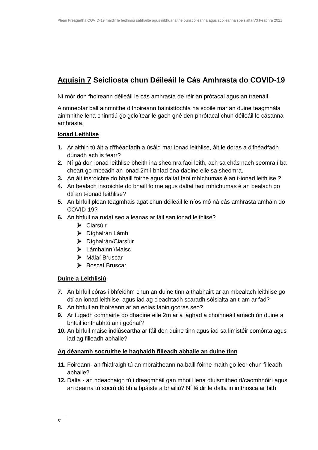### **Aguisín 7 Seicliosta chun Déileáil le Cás Amhrasta do COVID-19**

Ní mór don fhoireann déileáil le cás amhrasta de réir an prótacal agus an traenáil.

Ainmneofar ball ainmnithe d'fhoireann bainistíochta na scoile mar an duine teagmhála ainmnithe lena chinntiú go gcloítear le gach gné den phrótacal chun déileáil le cásanna amhrasta.

#### **Ionad Leithlise**

- **1.** Ar aithin tú áit a d'fhéadfadh a úsáid mar ionad leithlise, áit le doras a d'fhéadfadh dúnadh ach is fearr?
- **2.** Ní gá don ionad leithlise bheith ina sheomra faoi leith, ach sa chás nach seomra í ba cheart go mbeadh an ionad 2m i bhfad óna daoine eile sa sheomra.
- **3.** An áit insroichte do bhaill foirne agus daltaí faoi mhíchumas é an t-ionad leithlise ?
- **4.** An bealach insroichte do bhaill foirne agus daltaí faoi mhíchumas é an bealach go dtí an t-ionad leithlise?
- **5.** An bhfuil plean teagmhais agat chun déileáil le níos mó ná cás amhrasta amháin do COVID-19?
- **6.** An bhfuil na rudaí seo a leanas ar fáil san ionad leithlise?
	- ➢ Ciarsúir
	- ➢ Díghalrán Lámh
	- ➢ Díghalrán/Ciarsúir
	- ➢ Lámhainní/Maisc
	- ➢ Málaí Bruscar
	- ➢ Boscaí Bruscar

#### **Duine a Leithlisiú**

- **7.** An bhfuil córas i bhfeidhm chun an duine tinn a thabhairt ar an mbealach leithlise go dtí an ionad leithlise, agus iad ag cleachtadh scaradh sóisialta an t-am ar fad?
- **8.** An bhfuil an fhoireann ar an eolas faoin gcóras seo?
- **9.** Ar tugadh comhairle do dhaoine eile 2m ar a laghad a choinneáil amach ón duine a bhfuil ionfhabhtú air i gcónaí?
- **10.** An bhfuil maisc indiúscartha ar fáil don duine tinn agus iad sa limistéir comónta agus iad ag filleadh abhaile?

#### **Ag déanamh socruithe le haghaidh filleadh abhaile an duine tinn**

- **11.** Foireann- an fhiafraigh tú an mbraitheann na baill foirne maith go leor chun filleadh abhaile?
- **12.** Dalta an ndeachaigh tú i dteagmháil gan mhoill lena dtuismitheoirí/caomhnóirí agus an dearna tú socrú dóibh a bpáiste a bhailiú? Ní féidir le dalta in imthosca ar bith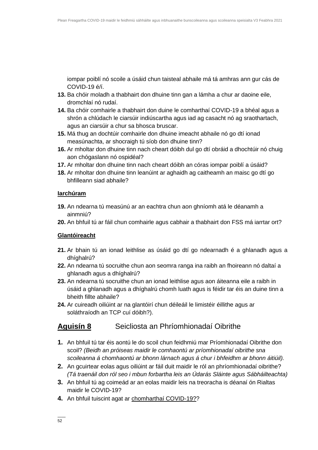iompar poiblí nó scoile a úsáid chun taisteal abhaile má tá amhras ann gur cás de COVID-19 é/í.

- **13.** Ba chóir moladh a thabhairt don dhuine tinn gan a lámha a chur ar daoine eile, dromchlaí nó rudaí.
- **14.** Ba chóir comhairle a thabhairt don duine le comharthaí COVID-19 a bhéal agus a shrón a chlúdach le ciarsúir indiúscartha agus iad ag casacht nó ag sraothartach, agus an ciarsúir a chur sa bhosca bruscar.
- **15.** Má thug an dochtúir comhairle don dhuine imeacht abhaile nó go dtí ionad measúnachta, ar shocraigh tú síob don dhuine tinn?
- **16.** Ar mholtar don dhuine tinn nach cheart dóibh dul go dtí obráid a dhochtúir nó chuig aon chógaslann nó ospidéal?
- **17.** Ar mholtar don dhuine tinn nach cheart dóibh an córas iompar poiblí a úsáid?
- **18.** Ar mholtar don dhuine tinn leanúint ar aghaidh ag caitheamh an maisc go dtí go bhfilleann siad abhaile?

#### **Iarchúram**

- **19.** An ndearna tú measúnú ar an eachtra chun aon ghníomh atá le déanamh a ainmniú?
- **20.** An bhfuil tú ar fáil chun comhairle agus cabhair a thabhairt don FSS má iarrtar ort?

### **Glantóireacht**

- **21.** Ar bhain tú an ionad leithlise as úsáid go dtí go ndearnadh é a ghlanadh agus a dhíghalrú?
- **22.** An ndearna tú socruithe chun aon seomra ranga ina raibh an fhoireann nó daltaí a ghlanadh agus a dhíghalrú?
- **23.** An ndearna tú socruithe chun an ionad leithlise agus aon áiteanna eile a raibh in úsáid a ghlanadh agus a dhíghalrú chomh luath agus is féidir tar éis an duine tinn a bheith fillte abhaile?
- **24.** Ar cuireadh oiliúint ar na glantóirí chun déileáil le limistéir éillithe agus ar soláthraíodh an TCP cuí dóibh?).

### **Aguisín 8** Seicliosta an Phríomhionadaí Oibrithe

- **1.** An bhfuil tú tar éis aontú le do scoil chun feidhmiú mar Príomhionadaí Oibrithe don scoil? *(Beidh an próiseas maidir le comhaontú ar príomhionadaí oibrithe sna scoileanna á chomhaontú ar bhonn lárnach agus á chur i bhfeidhm ar bhonn áitiúil).*
- **2.** An gcuirtear eolas agus oiliúint ar fáil duit maidir le ról an phríomhionadaí oibrithe? *(Tá traenáil don ról seo i mbun forbartha leis an Údarás Sláinte agus Sábháilteachta)*
- **3.** An bhfuil tú ag coimeád ar an eolas maidir leis na treoracha is déanaí ón Rialtas maidir le COVID-19?
- **4.** An bhfuil tuiscint agat ar [chomharthaí COVID-19??](https://www2.hse.ie/gaeilge/coroinvireas/comharthai-an-choroinviris.html)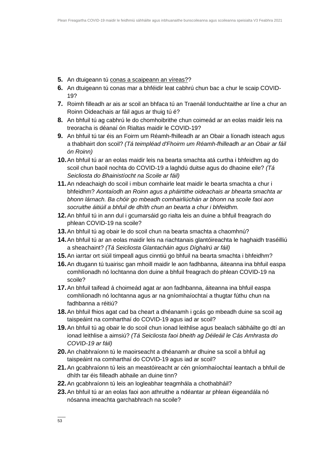- **5.** An dtuigeann tú [conas a scaipeann an víreas??](https://www2.hse.ie/gaeilge/coroinvireas/conas-a-scaiptear-an-coroinvireas.html)
- **6.** An dtuigeann tú conas mar a bhféidir leat cabhrú chun bac a chur le scaip COVID-19?
- **7.** Roimh filleadh ar ais ar scoil an bhfaca tú an Traenáil Ionduchtaithe ar líne a chur an Roinn Oideachais ar fáil agus ar thuig tú é?
- **8.** An bhfuil tú ag cabhrú le do chomhoibrithe chun coimeád ar an eolas maidir leis na treoracha is déanaí ón Rialtas maidir le COVID-19?
- **9.** An bhfuil tú tar éis an Foirm um Réamh-fhilleadh ar an Obair a líonadh isteach agus a thabhairt don scoil? *(Tá teimpléad d'Fhoirm um Réamh-fhilleadh ar an Obair ar fáil ón Roinn)*
- **10.**An bhfuil tú ar an eolas maidir leis na bearta smachta atá curtha i bhfeidhm ag do scoil chun baoil nochta do COVID-19 a laghdú duitse agus do dhaoine eile? *(Tá Seicliosta do Bhainistíocht na Scoile ar fáil)*
- **11.**An ndeachaigh do scoil i mbun comhairle leat maidir le bearta smachta a chur i bhfeidhm? *Aontaíodh an Roinn agus a pháirtithe oideachais ar bhearta smachta ar bhonn lárnach. Ba chóir go mbeadh comhairliúchán ar bhonn na scoile faoi aon socruithe áitiúil a bhfuil de dhíth chun an bearta a chur i bhfeidhm.*
- **12.**An bhfuil tú in ann dul i gcumarsáid go rialta leis an duine a bhfuil freagrach do phlean COVID-19 na scoile?
- **13.**An bhfuil tú ag obair le do scoil chun na bearta smachta a chaomhnú?
- **14.**An bhfuil tú ar an eolas maidir leis na riachtanais glantóireachta le haghaidh traséilliú a sheachaint? *(Tá Seicliosta Glantacháin agus Díghalrú ar fáil)*
- **15.**An iarrtar ort siúil timpeall agus cinntiú go bhfuil na bearta smachta i bhfeidhm?
- **16.**An dtugann tú tuairisc gan mhoill maidir le aon fadhbanna, áiteanna ina bhfuil easpa comhlíonadh nó lochtanna don duine a bhfuil freagrach do phlean COVID-19 na scoile?
- **17.**An bhfuil taifead á choimeád agat ar aon fadhbanna, áiteanna ina bhfuil easpa comhlíonadh nó lochtanna agus ar na gníomhaíochtaí a thugtar fúthu chun na fadhbanna a réitiú?
- **18.**An bhfuil fhios agat cad ba cheart a dhéanamh i gcás go mbeadh duine sa scoil ag taispeáint na comharthaí do COVID-19 agus iad ar scoil?
- **19.**An bhfuil tú ag obair le do scoil chun ionad leithlise agus bealach sábháilte go dtí an ionad leithlise a aimsiú? *(Tá Seicliosta faoi bheith ag Déileáil le Cás Amhrasta do COVID-19 ar fáil)*
- **20.**An chabhraíonn tú le maoirseacht a dhéanamh ar dhuine sa scoil a bhfuil ag taispeáint na comharthaí do COVID-19 agus iad ar scoil?
- **21.**An gcabhraíonn tú leis an meastóireacht ar cén gníomhaíochtaí leantach a bhfuil de dhíth tar éis filleadh abhaile an duine tinn?
- **22.**An gcabhraíonn tú leis an logleabhar teagmhála a chothabháil?
- **23.**An bhfuil tú ar an eolas faoi aon athruithe a ndéantar ar phlean éigeandála nó nósanna imeachta garchabhrach na scoile?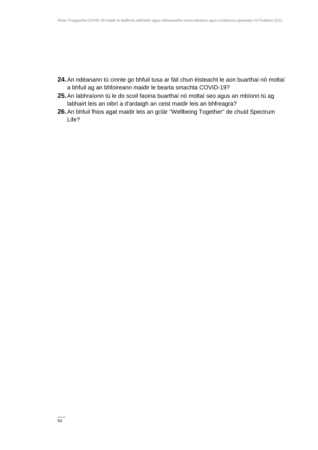- **24.**An ndéanann tú cinnte go bhfuil tusa ar fáil chun éisteacht le aon buarthaí nó moltaí a bhfuil ag an bhfoireann maidir le bearta smachta COVID-19?
- **25.**An labhraíonn tú le do scoil faoina buarthaí nó moltaí seo agus an mbíonn tú ag labhairt leis an oibrí a d'ardaigh an ceist maidir leis an bhfreagra?
- **26.**An bhfuil fhios agat maidir leis an gclár "Wellbeing Together" de chuid Spectrum Life?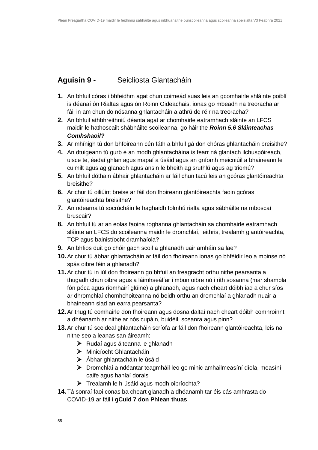### **Aguisín 9 -** Seicliosta Glantacháin

- **1.** An bhfuil córas i bhfeidhm agat chun coimeád suas leis an gcomhairle shláinte poiblí is déanaí ón Rialtas agus ón Roinn Oideachais, ionas go mbeadh na treoracha ar fáil in am chun do nósanna ghlantacháin a athrú de réir na treoracha?
- **2.** An bhfuil athbhreithniú déanta agat ar chomhairle eatramhach sláinte an LFCS maidir le hathoscailt shábháilte scoileanna, go háirithe *Roinn 5.6 Sláinteachas Comhshaoil?*
- **3.** Ar mhínigh tú don bhfoireann cén fáth a bhfuil gá don chóras ghlantacháin breisithe?
- **4.** An dtuigeann tú gurb é an modh ghlantacháina is fearr ná glantach ilchuspóireach, uisce te, éadaí ghlan agus mapaí a úsáid agus an gníomh meicniúil a bhaineann le cuimilt agus ag glanadh agus ansin le bheith ag sruthlú agus ag triomú?
- **5.** An bhfuil dóthain ábhair ghlantacháin ar fáil chun tacú leis an gcóras glantóireachta breisithe?
- **6.** Ar chur tú oiliúint breise ar fáil don fhoireann glantóireachta faoin gcóras glantóireachta breisithe?
- **7.** An ndearna tú socrúcháin le haghaidh folmhú rialta agus sábháilte na mboscaí bruscair?
- **8.** An bhfuil tú ar an eolas faoina roghanna ghlantacháin sa chomhairle eatramhach sláinte an LFCS do scoileanna maidir le dromchlaí, leithris, trealamh glantóireachta, TCP agus bainistíocht dramhaíola?
- **9.** An bhfios duit go chóir gach scoil a ghlanadh uair amháin sa lae?
- **10.**Ar chur tú ábhar ghlantacháin ar fáil don fhoireann ionas go bhféidir leo a mbinse nó spás oibre féin a ghlanadh?
- **11.**Ar chur tú in iúl don fhoireann go bhfuil an freagracht orthu nithe pearsanta a thugadh chun oibre agus a láimhseálfar i mbun oibre nó i rith sosanna (mar shampla fón póca agus ríomhairí glúine) a ghlanadh, agus nach cheart dóibh iad a chur síos ar dhromchlaí chomhchoiteanna nó beidh orthu an dromchlaí a ghlanadh nuair a bhaineann siad an earra pearsanta?
- **12.**Ar thug tú comhairle don fhoireann agus dosna daltaí nach cheart dóibh comhroinnt a dhéanamh ar nithe ar nós cupáin, buidéil, sceanra agus pinn?
- **13.**Ar chur tú sceideal ghlantacháin scríofa ar fáil don fhoireann glantóireachta, leis na nithe seo a leanas san áireamh:
	- ➢ Rudaí agus áiteanna le ghlanadh
	- ➢ Minicíocht Ghlantacháin
	- ➢ Ábhar ghlantacháin le úsáid
	- ➢ Dromchlaí a ndéantar teagmháil leo go minic amhailmeasíní díola, measíní caife agus hanlaí dorais
	- ➢ Trealamh le h-úsáid agus modh oibríochta?
- **14.**Tá sonraí faoi conas ba cheart glanadh a dhéanamh tar éis cás amhrasta do COVID-19 ar fáil i **gCuid 7 don Phlean thuas**